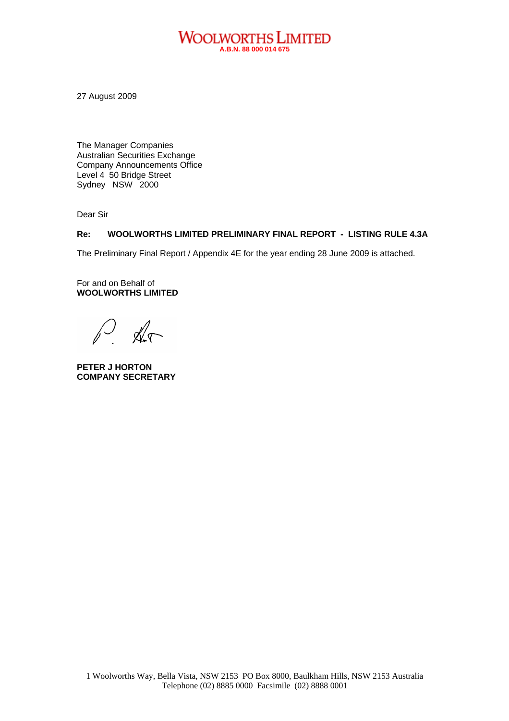#### **WOOLWORTHS LIMITED A.B.N. 88 000 014 675**

27 August 2009

The Manager Companies Australian Securities Exchange Company Announcements Office Level 4 50 Bridge Street Sydney NSW 2000

Dear Sir

#### **Re: WOOLWORTHS LIMITED PRELIMINARY FINAL REPORT - LISTING RULE 4.3A**

The Preliminary Final Report / Appendix 4E for the year ending 28 June 2009 is attached.

For and on Behalf of **WOOLWORTHS LIMITED** 

 $\mathbb{X}$ 

**PETER J HORTON COMPANY SECRETARY**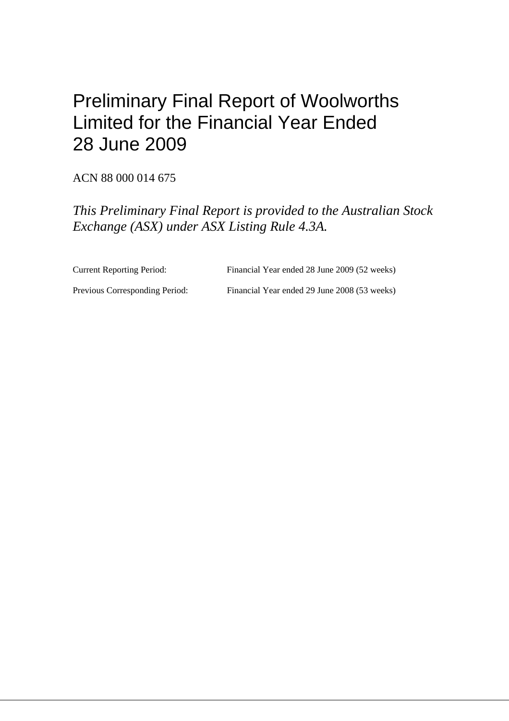# Preliminary Final Report of Woolworths Limited for the Financial Year Ended 28 June 2009

ACN 88 000 014 675

*This Preliminary Final Report is provided to the Australian Stock Exchange (ASX) under ASX Listing Rule 4.3A.* 

Current Reporting Period: Financial Year ended 28 June 2009 (52 weeks)

Previous Corresponding Period: Financial Year ended 29 June 2008 (53 weeks)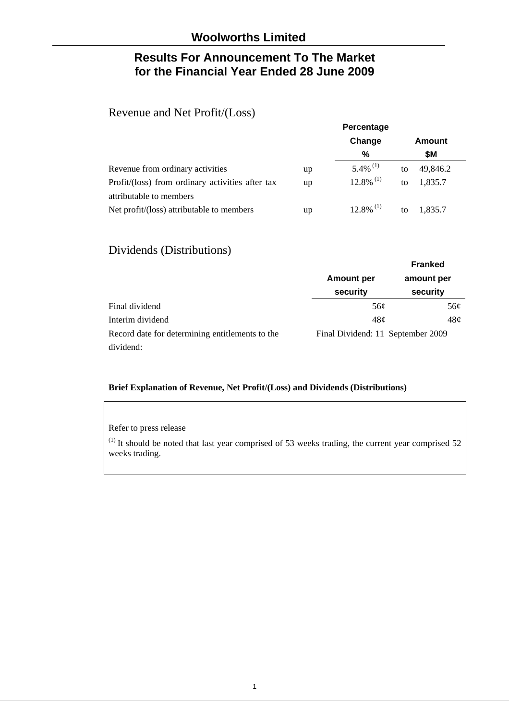# **Results For Announcement To The Market for the Financial Year Ended 28 June 2009**

# Revenue and Net Profit/(Loss)

|                                                  | Percentage |                         |    |          |  |
|--------------------------------------------------|------------|-------------------------|----|----------|--|
|                                                  |            | Change                  |    | Amount   |  |
|                                                  |            | %                       |    | \$M      |  |
| Revenue from ordinary activities                 | up         | $5.4\%$ <sup>(1)</sup>  | to | 49,846.2 |  |
| Profit/(loss) from ordinary activities after tax | up         | $12.8\%$ <sup>(1)</sup> | to | 1,835.7  |  |
| attributable to members                          |            |                         |    |          |  |
| Net profit/(loss) attributable to members        | up         | $12.8\%$ <sup>(1)</sup> | to | 1.835.7  |  |

# Dividends (Distributions)

|                                                 |                                   | <b>Franked</b> |
|-------------------------------------------------|-----------------------------------|----------------|
|                                                 | <b>Amount per</b>                 | amount per     |
|                                                 | security                          | security       |
| Final dividend                                  | 56¢                               | 56¢            |
| Interim dividend                                | 48c                               | 48c            |
| Record date for determining entitlements to the | Final Dividend: 11 September 2009 |                |
| dividend:                                       |                                   |                |

#### **Brief Explanation of Revenue, Net Profit/(Loss) and Dividends (Distributions)**

#### Refer to press release

 $(1)$  It should be noted that last year comprised of 53 weeks trading, the current year comprised 52 weeks trading.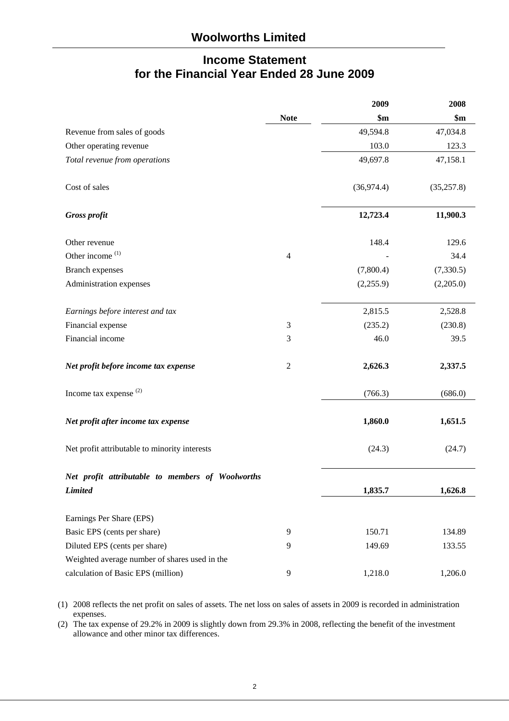# **Income Statement for the Financial Year Ended 28 June 2009**

|                                                  |                  | 2009        | 2008        |
|--------------------------------------------------|------------------|-------------|-------------|
|                                                  | <b>Note</b>      | \$m\$       | \$m\$       |
| Revenue from sales of goods                      |                  | 49,594.8    | 47,034.8    |
| Other operating revenue                          |                  | 103.0       | 123.3       |
| Total revenue from operations                    |                  | 49,697.8    | 47,158.1    |
| Cost of sales                                    |                  | (36, 974.4) | (35, 257.8) |
| <b>Gross profit</b>                              |                  | 12,723.4    | 11,900.3    |
| Other revenue                                    |                  | 148.4       | 129.6       |
| Other income <sup>(1)</sup>                      | $\overline{4}$   |             | 34.4        |
| <b>Branch expenses</b>                           |                  | (7,800.4)   | (7,330.5)   |
| Administration expenses                          |                  | (2,255.9)   | (2,205.0)   |
| Earnings before interest and tax                 |                  | 2,815.5     | 2,528.8     |
| Financial expense                                | 3                | (235.2)     | (230.8)     |
| Financial income                                 | 3                | 46.0        | 39.5        |
| Net profit before income tax expense             | $\boldsymbol{2}$ | 2,626.3     | 2,337.5     |
| Income tax expense $(2)$                         |                  | (766.3)     | (686.0)     |
| Net profit after income tax expense              |                  | 1,860.0     | 1,651.5     |
| Net profit attributable to minority interests    |                  | (24.3)      | (24.7)      |
| Net profit attributable to members of Woolworths |                  |             |             |
| <b>Limited</b>                                   |                  | 1,835.7     | 1,626.8     |
| Earnings Per Share (EPS)                         |                  |             |             |
| Basic EPS (cents per share)                      | 9                | 150.71      | 134.89      |
| Diluted EPS (cents per share)                    | 9                | 149.69      | 133.55      |
| Weighted average number of shares used in the    |                  |             |             |
| calculation of Basic EPS (million)               | 9                | 1,218.0     | 1,206.0     |

(1) 2008 reflects the net profit on sales of assets. The net loss on sales of assets in 2009 is recorded in administration expenses.

(2) The tax expense of 29.2% in 2009 is slightly down from 29.3% in 2008, reflecting the benefit of the investment allowance and other minor tax differences.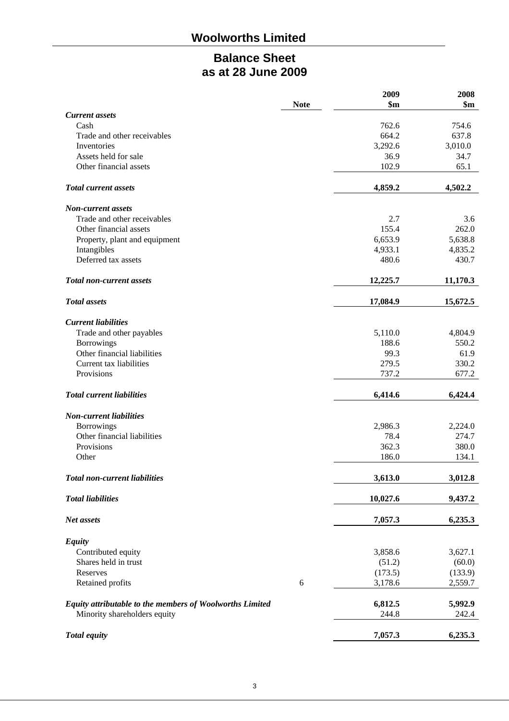# **Woolworths Limited**

# **Balance Sheet as at 28 June 2009**

|                                                          |             | 2009     | 2008     |
|----------------------------------------------------------|-------------|----------|----------|
|                                                          | <b>Note</b> | \$m\$    | \$m\$    |
| <b>Current assets</b>                                    |             |          |          |
| Cash                                                     |             | 762.6    | 754.6    |
| Trade and other receivables                              |             | 664.2    | 637.8    |
| Inventories                                              |             | 3,292.6  | 3,010.0  |
| Assets held for sale                                     |             | 36.9     | 34.7     |
| Other financial assets                                   |             | 102.9    | 65.1     |
| <b>Total current assets</b>                              |             | 4,859.2  | 4,502.2  |
| <b>Non-current assets</b>                                |             |          |          |
| Trade and other receivables                              |             | 2.7      | 3.6      |
| Other financial assets                                   |             | 155.4    | 262.0    |
| Property, plant and equipment                            |             | 6,653.9  | 5,638.8  |
| Intangibles                                              |             | 4,933.1  | 4,835.2  |
| Deferred tax assets                                      |             | 480.6    | 430.7    |
| <b>Total non-current assets</b>                          |             | 12,225.7 | 11,170.3 |
|                                                          |             |          |          |
| <b>Total</b> assets                                      |             | 17,084.9 | 15,672.5 |
| <b>Current liabilities</b>                               |             |          |          |
| Trade and other payables                                 |             | 5,110.0  | 4,804.9  |
| <b>Borrowings</b>                                        |             | 188.6    | 550.2    |
| Other financial liabilities                              |             | 99.3     | 61.9     |
| Current tax liabilities                                  |             | 279.5    | 330.2    |
| Provisions                                               |             | 737.2    | 677.2    |
| <b>Total current liabilities</b>                         |             | 6,414.6  | 6,424.4  |
| <b>Non-current liabilities</b>                           |             |          |          |
| <b>Borrowings</b>                                        |             | 2,986.3  | 2,224.0  |
| Other financial liabilities                              |             | 78.4     | 274.7    |
| Provisions                                               |             | 362.3    | 380.0    |
| Other                                                    |             | 186.0    | 134.1    |
|                                                          |             |          |          |
| <b>Total non-current liabilities</b>                     |             | 3,613.0  | 3,012.8  |
| <b>Total liabilities</b>                                 |             | 10,027.6 | 9,437.2  |
| Net assets                                               |             | 7,057.3  | 6,235.3  |
| <b>Equity</b>                                            |             |          |          |
| Contributed equity                                       |             | 3,858.6  | 3,627.1  |
| Shares held in trust                                     |             | (51.2)   | (60.0)   |
| Reserves                                                 |             | (173.5)  | (133.9)  |
| Retained profits                                         | 6           | 3,178.6  | 2,559.7  |
| Equity attributable to the members of Woolworths Limited |             | 6,812.5  | 5,992.9  |
| Minority shareholders equity                             |             | 244.8    | 242.4    |
|                                                          |             |          |          |
| <b>Total equity</b>                                      |             | 7,057.3  | 6,235.3  |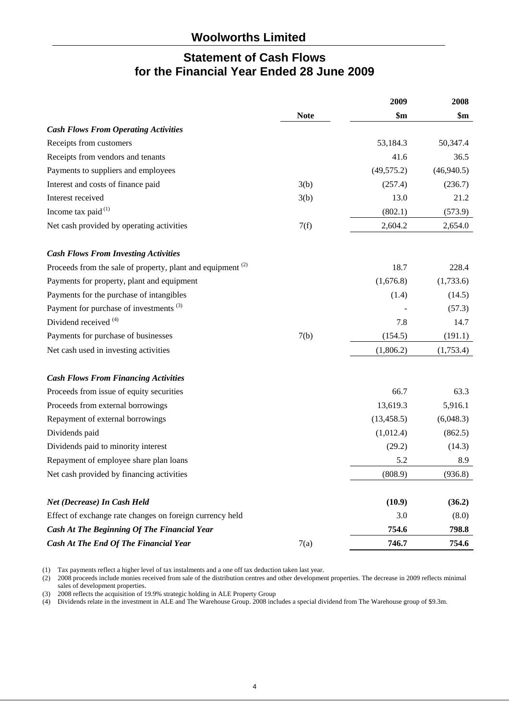# **Statement of Cash Flows for the Financial Year Ended 28 June 2009**

|                                                                        |             | 2009        | 2008           |
|------------------------------------------------------------------------|-------------|-------------|----------------|
|                                                                        | <b>Note</b> | \$m         | $\mathbf{\$m}$ |
| <b>Cash Flows From Operating Activities</b>                            |             |             |                |
| Receipts from customers                                                |             | 53,184.3    | 50,347.4       |
| Receipts from vendors and tenants                                      |             | 41.6        | 36.5           |
| Payments to suppliers and employees                                    |             | (49, 575.2) | (46,940.5)     |
| Interest and costs of finance paid                                     | 3(b)        | (257.4)     | (236.7)        |
| Interest received                                                      | 3(b)        | 13.0        | 21.2           |
| Income tax paid $(1)$                                                  |             | (802.1)     | (573.9)        |
| Net cash provided by operating activities                              | 7(f)        | 2,604.2     | 2,654.0        |
| <b>Cash Flows From Investing Activities</b>                            |             |             |                |
| Proceeds from the sale of property, plant and equipment <sup>(2)</sup> |             | 18.7        | 228.4          |
| Payments for property, plant and equipment                             |             | (1,676.8)   | (1,733.6)      |
| Payments for the purchase of intangibles                               |             | (1.4)       | (14.5)         |
| Payment for purchase of investments <sup>(3)</sup>                     |             |             | (57.3)         |
| Dividend received <sup>(4)</sup>                                       |             | 7.8         | 14.7           |
| Payments for purchase of businesses                                    | 7(b)        | (154.5)     | (191.1)        |
| Net cash used in investing activities                                  |             | (1,806.2)   | (1,753.4)      |
| <b>Cash Flows From Financing Activities</b>                            |             |             |                |
| Proceeds from issue of equity securities                               |             | 66.7        | 63.3           |
| Proceeds from external borrowings                                      |             | 13,619.3    | 5,916.1        |
| Repayment of external borrowings                                       |             | (13, 458.5) | (6,048.3)      |
| Dividends paid                                                         |             | (1,012.4)   | (862.5)        |
| Dividends paid to minority interest                                    |             | (29.2)      | (14.3)         |
| Repayment of employee share plan loans                                 |             | 5.2         | 8.9            |
| Net cash provided by financing activities                              |             | (808.9)     | (936.8)        |
| Net (Decrease) In Cash Held                                            |             | (10.9)      | (36.2)         |
| Effect of exchange rate changes on foreign currency held               |             | 3.0         | (8.0)          |
| Cash At The Beginning Of The Financial Year                            |             | 754.6       | 798.8          |
| Cash At The End Of The Financial Year                                  | 7(a)        | 746.7       | 754.6          |
|                                                                        |             |             |                |

(1) Tax payments reflect a higher level of tax instalments and a one off tax deduction taken last year.

(2) 2008 proceeds include monies received from sale of the distribution centres and other development properties. The decrease in 2009 reflects minimal sales of development properties.

(3) 2008 reflects the acquisition of 19.9% strategic holding in ALE Property Group

(4) Dividends relate in the investment in ALE and The Warehouse Group. 2008 includes a special dividend from The Warehouse group of \$9.3m.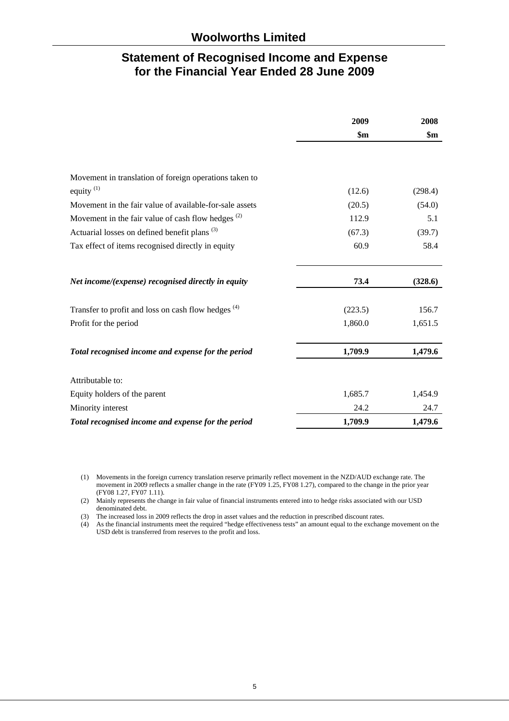# **Statement of Recognised Income and Expense for the Financial Year Ended 28 June 2009**

|                                                                | 2009           | 2008           |
|----------------------------------------------------------------|----------------|----------------|
|                                                                | $\mathbf{\$m}$ | $\mathbf{\$m}$ |
|                                                                |                |                |
| Movement in translation of foreign operations taken to         |                |                |
| equity $(1)$                                                   | (12.6)         | (298.4)        |
| Movement in the fair value of available-for-sale assets        | (20.5)         | (54.0)         |
| Movement in the fair value of cash flow hedges $(2)$           | 112.9          | 5.1            |
| Actuarial losses on defined benefit plans <sup>(3)</sup>       | (67.3)         | (39.7)         |
| Tax effect of items recognised directly in equity              | 60.9           | 58.4           |
| Net income/(expense) recognised directly in equity             | 73.4           | (328.6)        |
| Transfer to profit and loss on cash flow hedges <sup>(4)</sup> | (223.5)        | 156.7          |
| Profit for the period                                          | 1,860.0        | 1,651.5        |
| Total recognised income and expense for the period             | 1,709.9        | 1,479.6        |
| Attributable to:                                               |                |                |
| Equity holders of the parent                                   | 1,685.7        | 1,454.9        |
| Minority interest                                              | 24.2           | 24.7           |
| Total recognised income and expense for the period             | 1,709.9        | 1,479.6        |

(1) Movements in the foreign currency translation reserve primarily reflect movement in the NZD/AUD exchange rate. The movement in 2009 reflects a smaller change in the rate (FY09 1.25, FY08 1.27), compared to the change in the prior year (FY08 1.27, FY07 1.11).

(2) Mainly represents the change in fair value of financial instruments entered into to hedge risks associated with our USD denominated debt.

(3) The increased loss in 2009 reflects the drop in asset values and the reduction in prescribed discount rates.

(4) As the financial instruments meet the required "hedge effectiveness tests" an amount equal to the exchange movement on the USD debt is transferred from reserves to the profit and loss.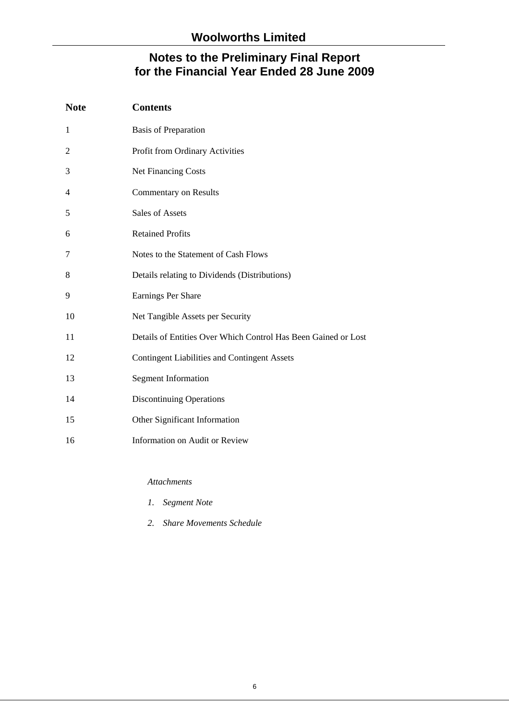| <b>Note</b>    | <b>Contents</b>                                                |
|----------------|----------------------------------------------------------------|
| 1              | <b>Basis of Preparation</b>                                    |
| $\overline{2}$ | Profit from Ordinary Activities                                |
| 3              | Net Financing Costs                                            |
| 4              | <b>Commentary on Results</b>                                   |
| 5              | <b>Sales of Assets</b>                                         |
| 6              | <b>Retained Profits</b>                                        |
| $\tau$         | Notes to the Statement of Cash Flows                           |
| 8              | Details relating to Dividends (Distributions)                  |
| 9              | Earnings Per Share                                             |
| 10             | Net Tangible Assets per Security                               |
| 11             | Details of Entities Over Which Control Has Been Gained or Lost |
| 12             | <b>Contingent Liabilities and Contingent Assets</b>            |
| 13             | <b>Segment Information</b>                                     |
| 14             | <b>Discontinuing Operations</b>                                |
| 15             | Other Significant Information                                  |
| 16             | <b>Information on Audit or Review</b>                          |

*Attachments* 

- *1. Segment Note*
- *2. Share Movements Schedule*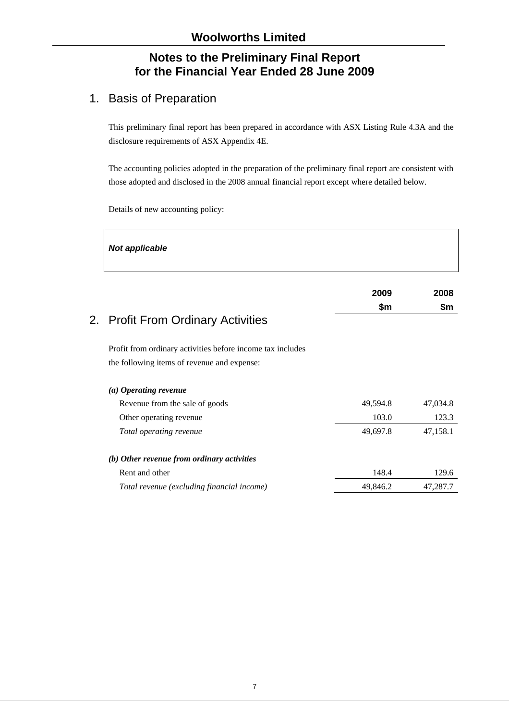# 1. Basis of Preparation

This preliminary final report has been prepared in accordance with ASX Listing Rule 4.3A and the disclosure requirements of ASX Appendix 4E.

The accounting policies adopted in the preparation of the preliminary final report are consistent with those adopted and disclosed in the 2008 annual financial report except where detailed below.

 $\overline{\phantom{a}}$ 

Details of new accounting policy:

Г

| <b>Not applicable</b>                                                                                     |          |          |
|-----------------------------------------------------------------------------------------------------------|----------|----------|
|                                                                                                           | 2009     | 2008     |
| 2. Profit From Ordinary Activities                                                                        | \$m      | \$m      |
| Profit from ordinary activities before income tax includes<br>the following items of revenue and expense: |          |          |
| (a) Operating revenue                                                                                     |          |          |
| Revenue from the sale of goods                                                                            | 49,594.8 | 47,034.8 |
| Other operating revenue                                                                                   | 103.0    | 123.3    |
| Total operating revenue                                                                                   | 49,697.8 | 47,158.1 |
| (b) Other revenue from ordinary activities                                                                |          |          |
| Rent and other                                                                                            | 148.4    | 129.6    |
| Total revenue (excluding financial income)                                                                | 49,846.2 | 47,287.7 |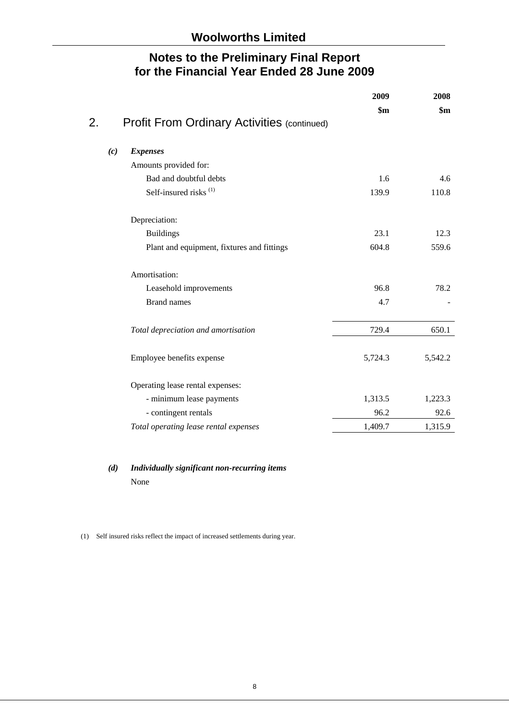|                                                          | 2009<br>$\mathbf{\$m}$ | 2008<br>$\mathbf{\$m}$ |
|----------------------------------------------------------|------------------------|------------------------|
| 2.<br><b>Profit From Ordinary Activities (continued)</b> |                        |                        |
| <b>Expenses</b><br>(c)                                   |                        |                        |
| Amounts provided for:                                    |                        |                        |
| Bad and doubtful debts                                   | 1.6                    | 4.6                    |
| Self-insured risks <sup>(1)</sup>                        | 139.9                  | 110.8                  |
| Depreciation:                                            |                        |                        |
| <b>Buildings</b>                                         | 23.1                   | 12.3                   |
| Plant and equipment, fixtures and fittings               | 604.8                  | 559.6                  |
| Amortisation:                                            |                        |                        |
| Leasehold improvements                                   | 96.8                   | 78.2                   |
| <b>Brand names</b>                                       | 4.7                    |                        |
| Total depreciation and amortisation                      | 729.4                  | 650.1                  |
| Employee benefits expense                                | 5,724.3                | 5,542.2                |
| Operating lease rental expenses:                         |                        |                        |
| - minimum lease payments                                 | 1,313.5                | 1,223.3                |
| - contingent rentals                                     | 96.2                   | 92.6                   |
| Total operating lease rental expenses                    | 1,409.7                | 1,315.9                |

# *(d) Individually significant non-recurring items*  None

(1) Self insured risks reflect the impact of increased settlements during year.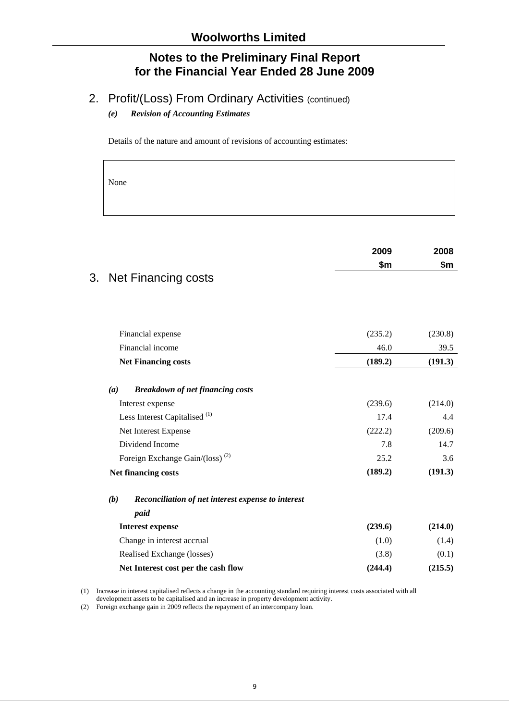# 2. Profit/(Loss) From Ordinary Activities (continued)

#### *(e) Revision of Accounting Estimates*

Details of the nature and amount of revisions of accounting estimates:

None

|                                                                           | 2009            | 2008           |
|---------------------------------------------------------------------------|-----------------|----------------|
|                                                                           | \$m             | \$m            |
| <b>Net Financing costs</b><br>3.                                          |                 |                |
|                                                                           |                 |                |
| Financial expense                                                         | (235.2)         | (230.8)        |
| Financial income                                                          | 46.0            | 39.5           |
| <b>Net Financing costs</b>                                                | (189.2)         | (191.3)        |
| (a)<br><b>Breakdown of net financing costs</b>                            |                 |                |
|                                                                           | (239.6)         | (214.0)        |
| Interest expense<br>Less Interest Capitalised <sup>(1)</sup>              | 17.4            | 4.4            |
| Net Interest Expense                                                      | (222.2)         | (209.6)        |
| Dividend Income                                                           |                 |                |
|                                                                           | 7.8             | 14.7           |
| Foreign Exchange Gain/(loss) <sup>(2)</sup><br><b>Net financing costs</b> | 25.2<br>(189.2) | 3.6<br>(191.3) |
| (b)<br>Reconciliation of net interest expense to interest                 |                 |                |
| paid                                                                      |                 |                |
| <b>Interest expense</b>                                                   | (239.6)         | (214.0)        |
| Change in interest accrual                                                | (1.0)           | (1.4)          |
| Realised Exchange (losses)                                                | (3.8)           | (0.1)          |
| Net Interest cost per the cash flow                                       | (244.4)         | (215.5)        |

(1) Increase in interest capitalised reflects a change in the accounting standard requiring interest costs associated with all

development assets to be capitalised and an increase in property development activity.

(2) Foreign exchange gain in 2009 reflects the repayment of an intercompany loan.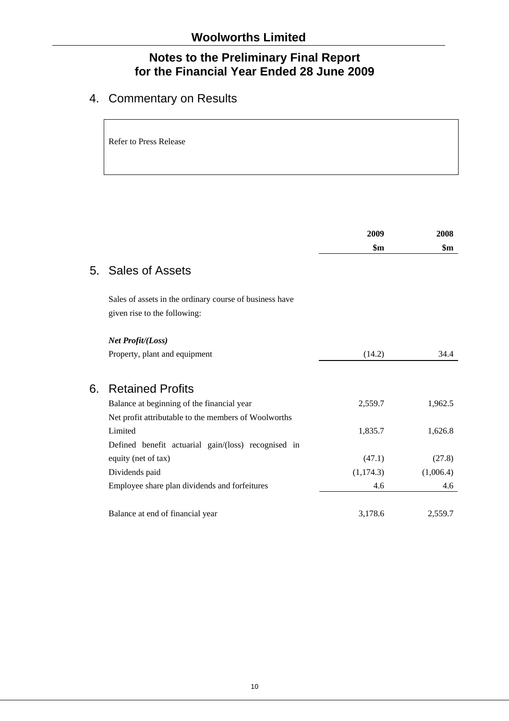# 4. Commentary on Results

Refer to Press Release

|    |                                                         | 2009           | 2008      |
|----|---------------------------------------------------------|----------------|-----------|
|    |                                                         | $\mathbf{\$m}$ | \$m       |
|    | 5. Sales of Assets                                      |                |           |
|    | Sales of assets in the ordinary course of business have |                |           |
|    | given rise to the following:                            |                |           |
|    | Net Profit/(Loss)                                       |                |           |
|    | Property, plant and equipment                           | (14.2)         | 34.4      |
| 6. | <b>Retained Profits</b>                                 |                |           |
|    | Balance at beginning of the financial year              | 2,559.7        | 1,962.5   |
|    | Net profit attributable to the members of Woolworths    |                |           |
|    | Limited                                                 | 1,835.7        | 1,626.8   |
|    | Defined benefit actuarial gain/(loss) recognised in     |                |           |
|    | equity (net of tax)                                     | (47.1)         | (27.8)    |
|    | Dividends paid                                          | (1, 174.3)     | (1,006.4) |
|    | Employee share plan dividends and forfeitures           | 4.6            | 4.6       |
|    | Balance at end of financial year                        | 3,178.6        | 2,559.7   |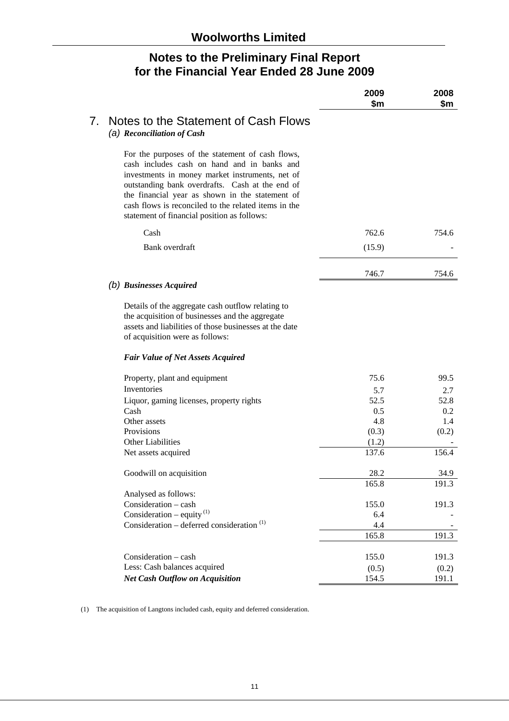|                                 |                                                                                                                                                                                                                                                                                                                                                                 | 2009<br>\$m | 2008<br>\$m |
|---------------------------------|-----------------------------------------------------------------------------------------------------------------------------------------------------------------------------------------------------------------------------------------------------------------------------------------------------------------------------------------------------------------|-------------|-------------|
| $7_{\scriptscriptstyle{\cdot}}$ | Notes to the Statement of Cash Flows<br>(a) Reconciliation of Cash                                                                                                                                                                                                                                                                                              |             |             |
|                                 | For the purposes of the statement of cash flows,<br>cash includes cash on hand and in banks and<br>investments in money market instruments, net of<br>outstanding bank overdrafts. Cash at the end of<br>the financial year as shown in the statement of<br>cash flows is reconciled to the related items in the<br>statement of financial position as follows: |             |             |
|                                 | Cash                                                                                                                                                                                                                                                                                                                                                            | 762.6       | 754.6       |
|                                 | Bank overdraft                                                                                                                                                                                                                                                                                                                                                  | (15.9)      |             |
|                                 |                                                                                                                                                                                                                                                                                                                                                                 | 746.7       | 754.6       |
|                                 | (b) Businesses Acquired                                                                                                                                                                                                                                                                                                                                         |             |             |
|                                 | Details of the aggregate cash outflow relating to<br>the acquisition of businesses and the aggregate<br>assets and liabilities of those businesses at the date<br>of acquisition were as follows:                                                                                                                                                               |             |             |
|                                 | <b>Fair Value of Net Assets Acquired</b>                                                                                                                                                                                                                                                                                                                        |             |             |
|                                 | Property, plant and equipment                                                                                                                                                                                                                                                                                                                                   | 75.6        | 99.5        |
|                                 | Inventories                                                                                                                                                                                                                                                                                                                                                     | 5.7         | 2.7         |
|                                 | Liquor, gaming licenses, property rights                                                                                                                                                                                                                                                                                                                        | 52.5        | 52.8        |
|                                 | Cash                                                                                                                                                                                                                                                                                                                                                            | 0.5         | 0.2         |
|                                 | Other assets                                                                                                                                                                                                                                                                                                                                                    | 4.8         | 1.4         |
|                                 | Provisions                                                                                                                                                                                                                                                                                                                                                      | (0.3)       | (0.2)       |
|                                 | <b>Other Liabilities</b>                                                                                                                                                                                                                                                                                                                                        | (1.2)       |             |
|                                 | Net assets acquired                                                                                                                                                                                                                                                                                                                                             | 137.6       | 156.4       |
|                                 | Goodwill on acquisition                                                                                                                                                                                                                                                                                                                                         | 28.2        | 34.9        |
|                                 |                                                                                                                                                                                                                                                                                                                                                                 | 165.8       | 191.3       |
|                                 | Analysed as follows:                                                                                                                                                                                                                                                                                                                                            |             |             |
|                                 | Consideration - cash                                                                                                                                                                                                                                                                                                                                            | 155.0       | 191.3       |
|                                 | Consideration – equity $^{(1)}$                                                                                                                                                                                                                                                                                                                                 | 6.4         |             |
|                                 | Consideration – deferred consideration <sup>(1)</sup>                                                                                                                                                                                                                                                                                                           | 4.4         |             |
|                                 |                                                                                                                                                                                                                                                                                                                                                                 | 165.8       | 191.3       |
|                                 | Consideration - cash                                                                                                                                                                                                                                                                                                                                            | 155.0       | 191.3       |
|                                 | Less: Cash balances acquired                                                                                                                                                                                                                                                                                                                                    | (0.5)       | (0.2)       |
|                                 | <b>Net Cash Outflow on Acquisition</b>                                                                                                                                                                                                                                                                                                                          | 154.5       | 191.1       |

(1) The acquisition of Langtons included cash, equity and deferred consideration.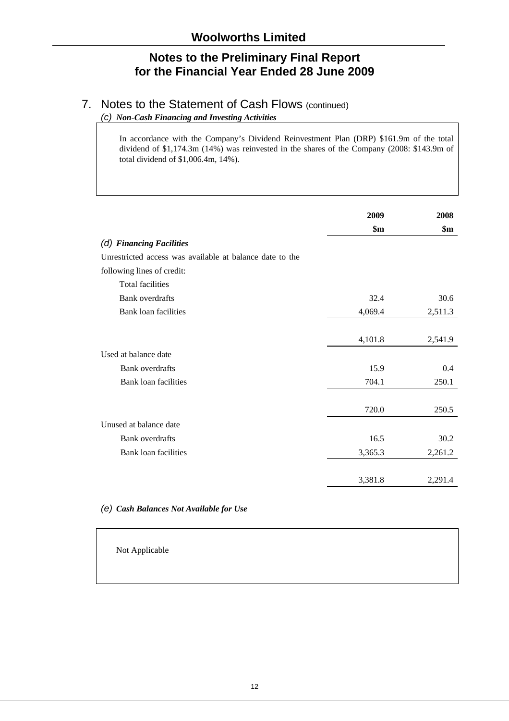# 7. Notes to the Statement of Cash Flows (continued)

*(c) Non-Cash Financing and Investing Activities* 

In accordance with the Company's Dividend Reinvestment Plan (DRP) \$161.9m of the total dividend of \$1,174.3m (14%) was reinvested in the shares of the Company (2008: \$143.9m of total dividend of \$1,006.4m, 14%).

|                                                          | 2009    | 2008    |
|----------------------------------------------------------|---------|---------|
|                                                          | \$m\$   | \$m     |
| (d) Financing Facilities                                 |         |         |
| Unrestricted access was available at balance date to the |         |         |
| following lines of credit:                               |         |         |
| Total facilities                                         |         |         |
| <b>Bank</b> overdrafts                                   | 32.4    | 30.6    |
| <b>Bank loan facilities</b>                              | 4,069.4 | 2,511.3 |
|                                                          |         |         |
|                                                          | 4,101.8 | 2,541.9 |
| Used at balance date                                     |         |         |
| <b>Bank</b> overdrafts                                   | 15.9    | 0.4     |
| Bank loan facilities                                     | 704.1   | 250.1   |
|                                                          |         |         |
|                                                          | 720.0   | 250.5   |
| Unused at balance date                                   |         |         |
| <b>Bank</b> overdrafts                                   | 16.5    | 30.2    |
| <b>Bank loan facilities</b>                              | 3,365.3 | 2,261.2 |
|                                                          | 3,381.8 | 2,291.4 |

#### *(e) Cash Balances Not Available for Use*

Not Applicable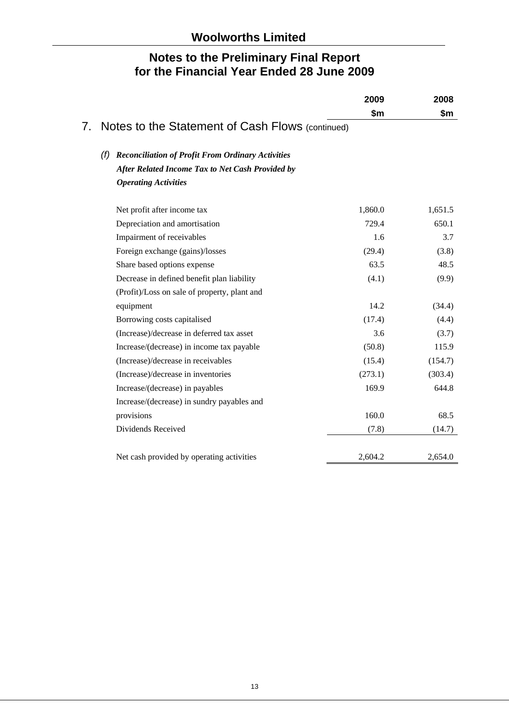|                                 |                                                                 | 2009    | 2008    |
|---------------------------------|-----------------------------------------------------------------|---------|---------|
|                                 |                                                                 | \$m\$   | \$m     |
| $7_{\scriptscriptstyle{\cdot}}$ | Notes to the Statement of Cash Flows (continued)                |         |         |
|                                 | <b>Reconciliation of Profit From Ordinary Activities</b><br>(f) |         |         |
|                                 | After Related Income Tax to Net Cash Provided by                |         |         |
|                                 | <b>Operating Activities</b>                                     |         |         |
|                                 | Net profit after income tax                                     | 1,860.0 | 1,651.5 |
|                                 | Depreciation and amortisation                                   | 729.4   | 650.1   |
|                                 | Impairment of receivables                                       | 1.6     | 3.7     |
|                                 | Foreign exchange (gains)/losses                                 | (29.4)  | (3.8)   |
|                                 | Share based options expense                                     | 63.5    | 48.5    |
|                                 | Decrease in defined benefit plan liability                      | (4.1)   | (9.9)   |
|                                 | (Profit)/Loss on sale of property, plant and                    |         |         |
|                                 | equipment                                                       | 14.2    | (34.4)  |
|                                 | Borrowing costs capitalised                                     | (17.4)  | (4.4)   |
|                                 | (Increase)/decrease in deferred tax asset                       | 3.6     | (3.7)   |
|                                 | Increase/(decrease) in income tax payable                       | (50.8)  | 115.9   |
|                                 | (Increase)/decrease in receivables                              | (15.4)  | (154.7) |
|                                 | (Increase)/decrease in inventories                              | (273.1) | (303.4) |
|                                 | Increase/(decrease) in payables                                 | 169.9   | 644.8   |
|                                 | Increase/(decrease) in sundry payables and                      |         |         |
|                                 | provisions                                                      | 160.0   | 68.5    |
|                                 | Dividends Received                                              | (7.8)   | (14.7)  |
|                                 | Net cash provided by operating activities                       | 2,604.2 | 2,654.0 |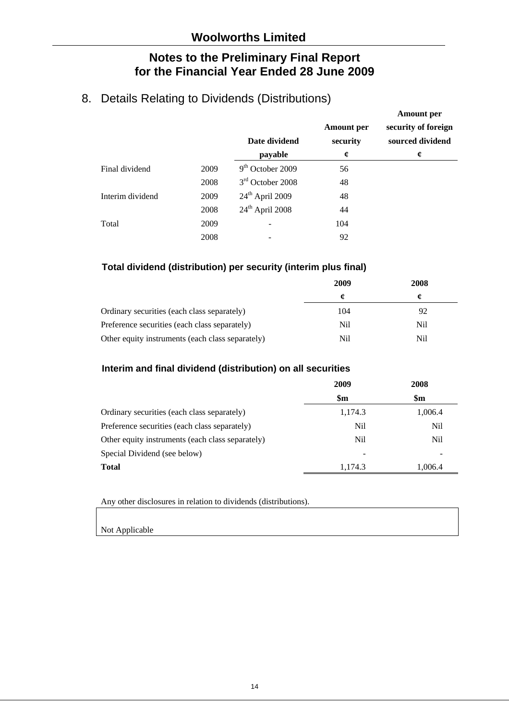# 8. Details Relating to Dividends (Distributions)

|                  |      |                    |                   | Amount per          |
|------------------|------|--------------------|-------------------|---------------------|
|                  |      |                    | <b>Amount</b> per | security of foreign |
|                  |      | Date dividend      | security          | sourced dividend    |
|                  |      | payable            | ¢                 | ¢                   |
| Final dividend   | 2009 | $9th$ October 2009 | 56                |                     |
|                  | 2008 | $3rd$ October 2008 | 48                |                     |
| Interim dividend | 2009 | $24th$ April 2009  | 48                |                     |
|                  | 2008 | $24th$ April 2008  | 44                |                     |
| Total            | 2009 |                    | 104               |                     |
|                  | 2008 |                    | 92                |                     |

**Amount per** 

### **Total dividend (distribution) per security (interim plus final)**

|                                                  | 2009 | 2008 |
|--------------------------------------------------|------|------|
|                                                  |      |      |
| Ordinary securities (each class separately)      | 104  | 92   |
| Preference securities (each class separately)    | Nil  | Nil  |
| Other equity instruments (each class separately) | Nil  | Nil  |

#### **Interim and final dividend (distribution) on all securities**

|                                                  | 2009           | 2008          |
|--------------------------------------------------|----------------|---------------|
|                                                  | $\mathbf{\$m}$ | $\mathbf{Sm}$ |
| Ordinary securities (each class separately)      | 1,174.3        | 1,006.4       |
| Preference securities (each class separately)    | Nil            | Nil           |
| Other equity instruments (each class separately) | Nil            | Nil           |
| Special Dividend (see below)                     | ۰              |               |
| <b>Total</b>                                     | 1,174.3        | 1,006.4       |

Any other disclosures in relation to dividends (distributions).

Not Applicable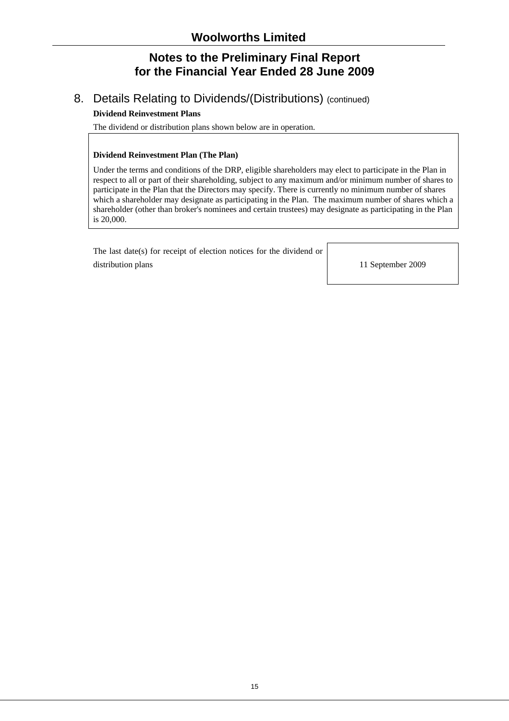# 8. Details Relating to Dividends/(Distributions) (continued)

#### **Dividend Reinvestment Plans**

The dividend or distribution plans shown below are in operation.

#### **Dividend Reinvestment Plan (The Plan)**

Under the terms and conditions of the DRP, eligible shareholders may elect to participate in the Plan in respect to all or part of their shareholding, subject to any maximum and/or minimum number of shares to participate in the Plan that the Directors may specify. There is currently no minimum number of shares which a shareholder may designate as participating in the Plan. The maximum number of shares which a shareholder (other than broker's nominees and certain trustees) may designate as participating in the Plan is 20,000.

 The last date(s) for receipt of election notices for the dividend or distribution plans 11 September 2009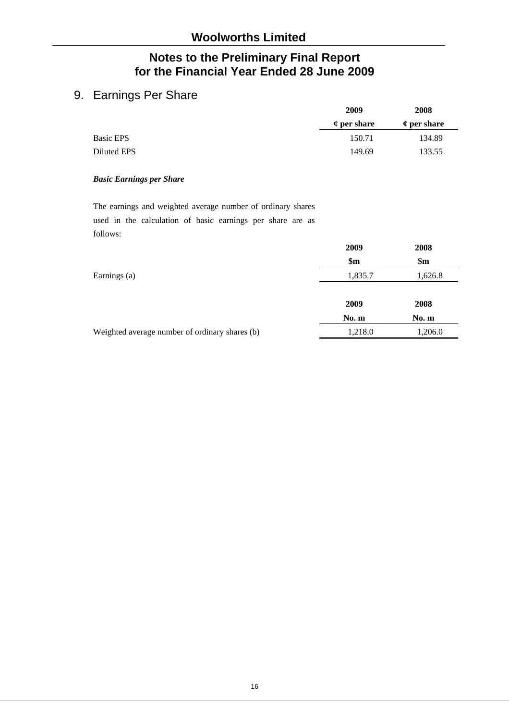# 9. Earnings Per Share

|                  | 2009                | 2008                    |  |
|------------------|---------------------|-------------------------|--|
|                  | $\varphi$ per share | $\mathfrak c$ per share |  |
| <b>Basic EPS</b> | 150.71              | 134.89                  |  |
| Diluted EPS      | 149.69              | 133.55                  |  |

#### *Basic Earnings per Share*

The earnings and weighted average number of ordinary shares used in the calculation of basic earnings per share are as follows:

|                                                | 2009    | 2008           |
|------------------------------------------------|---------|----------------|
|                                                | \$m\$   | $\mathbf{\$m}$ |
| Earnings (a)                                   | 1,835.7 | 1,626.8        |
|                                                |         |                |
|                                                | 2009    | 2008           |
|                                                | No.m    | No. m          |
| Weighted average number of ordinary shares (b) | 1,218.0 | 1,206.0        |
|                                                |         |                |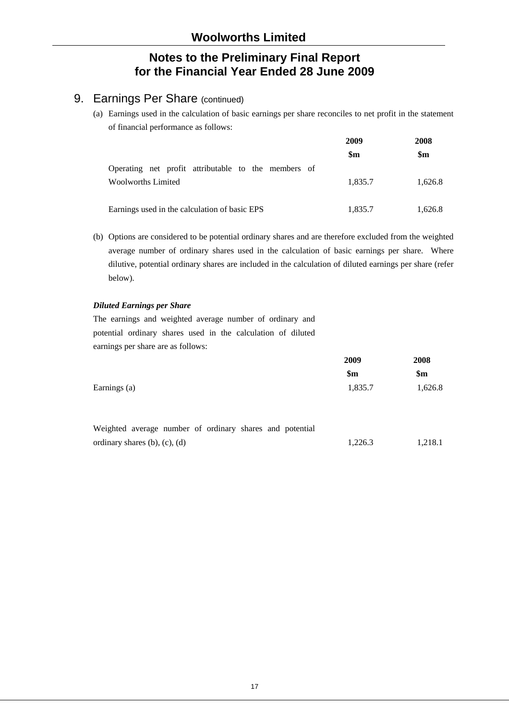# 9. Earnings Per Share (continued)

(a) Earnings used in the calculation of basic earnings per share reconciles to net profit in the statement of financial performance as follows:

|                                                     | 2009           | 2008    |  |
|-----------------------------------------------------|----------------|---------|--|
|                                                     | $\mathbf{\$m}$ | \$m     |  |
| Operating net profit attributable to the members of |                |         |  |
| <b>Woolworths Limited</b>                           | 1.835.7        | 1.626.8 |  |
|                                                     |                |         |  |
| Earnings used in the calculation of basic EPS       | 1,835.7        | 1,626.8 |  |

(b) Options are considered to be potential ordinary shares and are therefore excluded from the weighted average number of ordinary shares used in the calculation of basic earnings per share. Where dilutive, potential ordinary shares are included in the calculation of diluted earnings per share (refer below).

#### *Diluted Earnings per Share*

The earnings and weighted average number of ordinary and potential ordinary shares used in the calculation of diluted earnings per share are as follows:

|                                                          | 2009           | 2008          |
|----------------------------------------------------------|----------------|---------------|
|                                                          | $\mathbf{\$m}$ | $\mathbf{Sm}$ |
| Earnings (a)                                             | 1,835.7        | 1,626.8       |
|                                                          |                |               |
| Weighted average number of ordinary shares and notential |                |               |

| reigned average number of ordinary shares and potential |  |  |  |         |         |
|---------------------------------------------------------|--|--|--|---------|---------|
| ordinary shares $(b)$ , $(c)$ , $(d)$                   |  |  |  | 1.226.3 | 1,218.1 |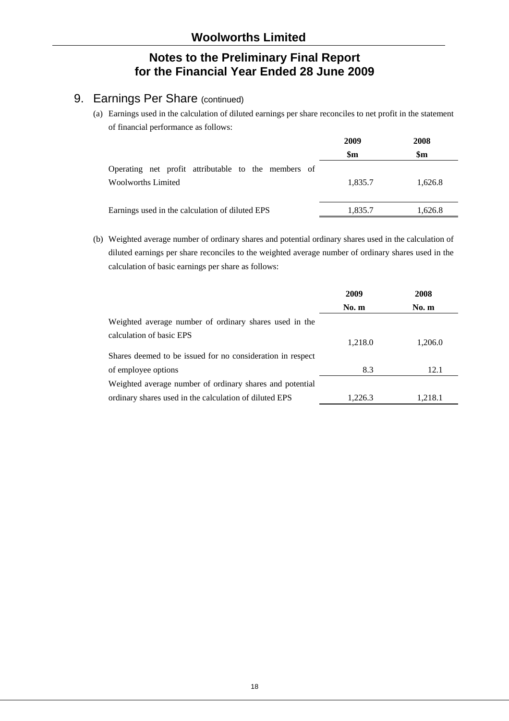# 9. Earnings Per Share (continued)

(a) Earnings used in the calculation of diluted earnings per share reconciles to net profit in the statement of financial performance as follows:

| 2009           | 2008           |  |
|----------------|----------------|--|
| $\mathbf{\$m}$ | $\mathbf{\$m}$ |  |
|                |                |  |
| 1,835.7        | 1,626.8        |  |
|                |                |  |
| 1,835.7        | 1,626.8        |  |
|                |                |  |

(b) Weighted average number of ordinary shares and potential ordinary shares used in the calculation of diluted earnings per share reconciles to the weighted average number of ordinary shares used in the calculation of basic earnings per share as follows:

|                                                            | 2009    | 2008    |
|------------------------------------------------------------|---------|---------|
|                                                            | No. m   | No. m   |
| Weighted average number of ordinary shares used in the     |         |         |
| calculation of basic EPS                                   | 1,218.0 | 1,206.0 |
| Shares deemed to be issued for no consideration in respect |         |         |
| of employee options                                        | 8.3     | 12.1    |
| Weighted average number of ordinary shares and potential   |         |         |
| ordinary shares used in the calculation of diluted EPS     | 1,226.3 | 1.218.1 |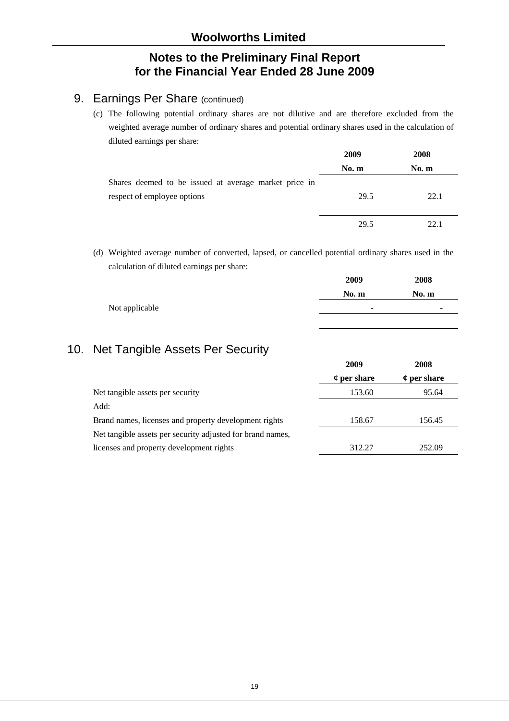# 9. Earnings Per Share (continued)

(c) The following potential ordinary shares are not dilutive and are therefore excluded from the weighted average number of ordinary shares and potential ordinary shares used in the calculation of diluted earnings per share:

|                                                       | 2009  | 2008  |
|-------------------------------------------------------|-------|-------|
|                                                       | No. m | No. m |
| Shares deemed to be issued at average market price in |       |       |
| respect of employee options                           | 29.5  | 22.1  |
|                                                       |       |       |
|                                                       | 29.5  | 22.1  |

(d) Weighted average number of converted, lapsed, or cancelled potential ordinary shares used in the calculation of diluted earnings per share:

|                | 2009  | 2008  |
|----------------|-------|-------|
|                | No. m | No. m |
| Not applicable | ۰     | -     |
|                |       |       |

# 10. Net Tangible Assets Per Security

|                                                            | 2009                | 2008                    |
|------------------------------------------------------------|---------------------|-------------------------|
|                                                            | $\varphi$ per share | $\mathfrak c$ per share |
| Net tangible assets per security                           | 153.60              | 95.64                   |
| Add:                                                       |                     |                         |
| Brand names, licenses and property development rights      | 158.67              | 156.45                  |
| Net tangible assets per security adjusted for brand names, |                     |                         |
| licenses and property development rights                   | 312.27              | 252.09                  |
|                                                            |                     |                         |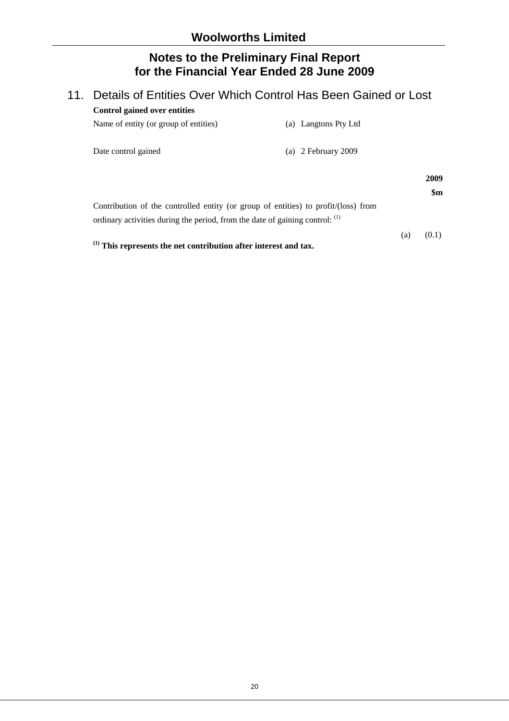# 11. Details of Entities Over Which Control Has Been Gained or Lost **Control gained over entities**

| Name of entity (or group of entities)                                                                                                                              | (a) Langtons Pty Ltd  |                       |
|--------------------------------------------------------------------------------------------------------------------------------------------------------------------|-----------------------|-----------------------|
| Date control gained                                                                                                                                                | (a) $2$ February 2009 |                       |
|                                                                                                                                                                    |                       | 2009<br>$\mathbf{Sm}$ |
| Contribution of the controlled entity (or group of entities) to profit/(loss) from<br>ordinary activities during the period, from the date of gaining control: (1) |                       |                       |
| $(1)$ This represents the net contribution after interest and tax.                                                                                                 | (a)                   | (0.1)                 |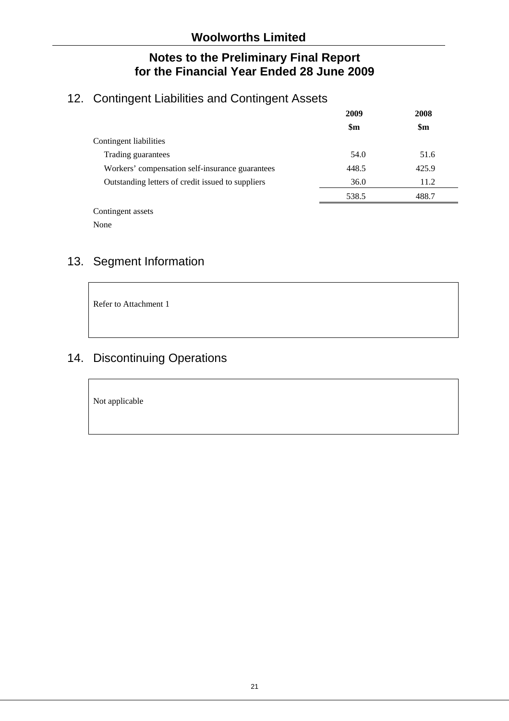# 12. Contingent Liabilities and Contingent Assets

|                                                   | 2009           | 2008  |
|---------------------------------------------------|----------------|-------|
|                                                   | $\mathbf{\$m}$ | \$m\$ |
| Contingent liabilities                            |                |       |
| Trading guarantees                                | 54.0           | 51.6  |
| Workers' compensation self-insurance guarantees   | 448.5          | 425.9 |
| Outstanding letters of credit issued to suppliers | 36.0           | 11.2  |
|                                                   | 538.5          | 488.7 |

Contingent assets

None

# 13. Segment Information

Refer to Attachment 1

# 14. Discontinuing Operations

Not applicable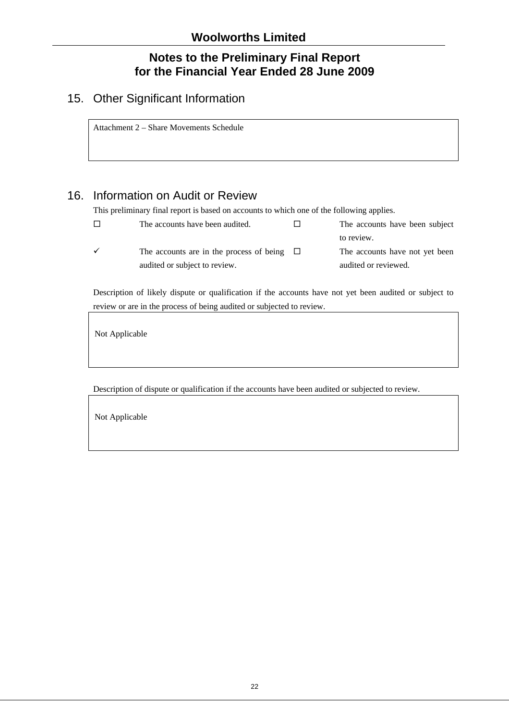# 15. Other Significant Information

Attachment 2 – Share Movements Schedule

# 16. Information on Audit or Review

This preliminary final report is based on accounts to which one of the following applies.

|   | The accounts have been audited.                 | The accounts have been subject |
|---|-------------------------------------------------|--------------------------------|
|   |                                                 | to review.                     |
| ✓ | The accounts are in the process of being $\Box$ | The accounts have not yet been |
|   | audited or subject to review.                   | audited or reviewed.           |

Description of likely dispute or qualification if the accounts have not yet been audited or subject to review or are in the process of being audited or subjected to review.

Not Applicable

Description of dispute or qualification if the accounts have been audited or subjected to review.

Not Applicable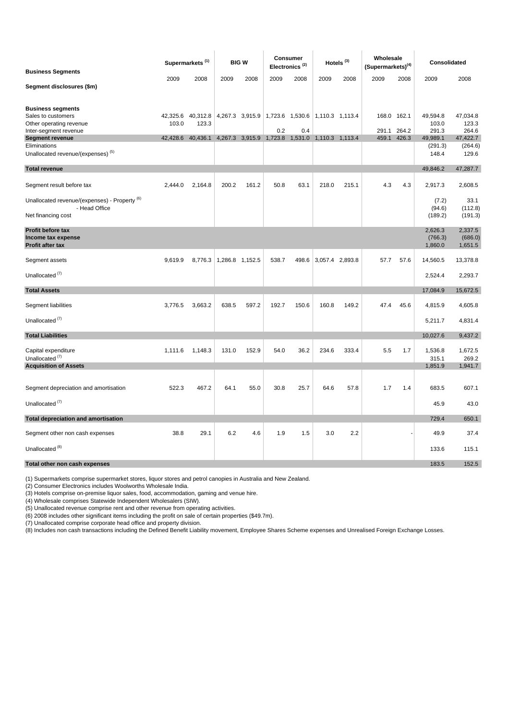| <b>Business Segments</b>                                                  |                   | Supermarkets <sup>(1)</sup> |                 | <b>BIGW</b>                                     |       | Consumer<br>Electronics <sup>(2)</sup> |                 | Hotels <sup>(3)</sup> | Wholesale<br>$(Supermarks)^{(4)}$ |             | Consolidated                  |                               |
|---------------------------------------------------------------------------|-------------------|-----------------------------|-----------------|-------------------------------------------------|-------|----------------------------------------|-----------------|-----------------------|-----------------------------------|-------------|-------------------------------|-------------------------------|
|                                                                           | 2009              | 2008                        | 2009            | 2008                                            | 2009  | 2008                                   | 2009            | 2008                  | 2009                              | 2008        | 2009                          | 2008                          |
| Segment disclosures (\$m)                                                 |                   |                             |                 |                                                 |       |                                        |                 |                       |                                   |             |                               |                               |
| <b>Business segments</b>                                                  |                   |                             |                 |                                                 |       |                                        |                 |                       | 168.0 162.1                       |             | 49,594.8                      | 47,034.8                      |
| Sales to customers<br>Other operating revenue                             | 42,325.6<br>103.0 | 40,312.8<br>123.3           |                 | 4,267.3 3,915.9 1,723.6 1,530.6 1,110.3 1,113.4 |       |                                        |                 |                       |                                   |             | 103.0                         | 123.3                         |
| Inter-segment revenue                                                     |                   |                             |                 |                                                 | 0.2   | 0.4                                    |                 |                       | 291.1                             | 264.2       | 291.3                         | 264.6                         |
| <b>Segment revenue</b><br>Eliminations                                    |                   | 42,428.6 40,436.1           |                 | 4,267.3 3,915.9 1,723.8 1,531.0 1,110.3 1,113.4 |       |                                        |                 |                       |                                   | 459.1 426.3 | 49,989.1                      | 47,422.7                      |
| Unallocated revenue/(expenses) <sup>(5)</sup>                             |                   |                             |                 |                                                 |       |                                        |                 |                       |                                   |             | (291.3)<br>148.4              | (264.6)<br>129.6              |
| <b>Total revenue</b>                                                      |                   |                             |                 |                                                 |       |                                        |                 |                       |                                   |             | 49,846.2                      | 47,287.7                      |
| Segment result before tax                                                 | 2.444.0           | 2,164.8                     | 200.2           | 161.2                                           | 50.8  | 63.1                                   | 218.0           | 215.1                 | 4.3                               | 4.3         | 2,917.3                       | 2,608.5                       |
| Unallocated revenue/(expenses) - Property <sup>(6)</sup><br>- Head Office |                   |                             |                 |                                                 |       |                                        |                 |                       |                                   |             | (7.2)<br>(94.6)               | 33.1<br>(112.8)               |
| Net financing cost                                                        |                   |                             |                 |                                                 |       |                                        |                 |                       |                                   |             | (189.2)                       | (191.3)                       |
| Profit before tax<br>Income tax expense<br>Profit after tax               |                   |                             |                 |                                                 |       |                                        |                 |                       |                                   |             | 2,626.3<br>(766.3)<br>1,860.0 | 2,337.5<br>(686.0)<br>1,651.5 |
| Segment assets                                                            | 9,619.9           | 8,776.3                     | 1,286.8 1,152.5 |                                                 | 538.7 | 498.6                                  | 3,057.4 2,893.8 |                       | 57.7                              | 57.6        | 14,560.5                      | 13,378.8                      |
| Unallocated <sup>(7)</sup>                                                |                   |                             |                 |                                                 |       |                                        |                 |                       |                                   |             | 2,524.4                       | 2,293.7                       |
| <b>Total Assets</b>                                                       |                   |                             |                 |                                                 |       |                                        |                 |                       |                                   |             | 17,084.9                      | 15,672.5                      |
| Segment liabilities                                                       | 3,776.5           | 3,663.2                     | 638.5           | 597.2                                           | 192.7 | 150.6                                  | 160.8           | 149.2                 | 47.4                              | 45.6        | 4,815.9                       | 4,605.8                       |
| Unallocated <sup>(7)</sup>                                                |                   |                             |                 |                                                 |       |                                        |                 |                       |                                   |             | 5,211.7                       | 4,831.4                       |
| <b>Total Liabilities</b>                                                  |                   |                             |                 |                                                 |       |                                        |                 |                       |                                   |             | 10,027.6                      | 9,437.2                       |
| Capital expenditure<br>Unallocated <sup>(7)</sup>                         | 1,111.6           | 1,148.3                     | 131.0           | 152.9                                           | 54.0  | 36.2                                   | 234.6           | 333.4                 | 5.5                               | 1.7         | 1,536.8<br>315.1              | 1,672.5<br>269.2              |
| <b>Acquisition of Assets</b>                                              |                   |                             |                 |                                                 |       |                                        |                 |                       |                                   |             | 1,851.9                       | 1,941.7                       |
|                                                                           |                   |                             |                 |                                                 |       |                                        |                 |                       |                                   |             |                               |                               |
| Segment depreciation and amortisation                                     | 522.3             | 467.2                       | 64.1            | 55.0                                            | 30.8  | 25.7                                   | 64.6            | 57.8                  | 1.7                               | 1.4         | 683.5                         | 607.1                         |
| Unallocated <sup>(7)</sup>                                                |                   |                             |                 |                                                 |       |                                        |                 |                       |                                   |             | 45.9                          | 43.0                          |
| <b>Total depreciation and amortisation</b>                                |                   |                             |                 |                                                 |       |                                        |                 |                       |                                   |             | 729.4                         | 650.1                         |
| Segment other non cash expenses                                           | 38.8              | 29.1                        | 6.2             | 4.6                                             | 1.9   | 1.5                                    | 3.0             | 2.2                   |                                   |             | 49.9                          | 37.4                          |
| Unallocated <sup>(8)</sup>                                                |                   |                             |                 |                                                 |       |                                        |                 |                       |                                   |             | 133.6                         | 115.1                         |
| Total other non cash expenses                                             |                   |                             |                 |                                                 |       |                                        |                 |                       |                                   |             | 183.5                         | 152.5                         |

(1) Supermarkets comprise supermarket stores, liquor stores and petrol canopies in Australia and New Zealand.

(2) Consumer Electronics includes Woolworths Wholesale India.

(3) Hotels comprise on-premise liquor sales, food, accommodation, gaming and venue hire.

(4) Wholesale comprises Statewide Independent Wholesalers (SIW).

(5) Unallocated revenue comprise rent and other revenue from operating activities.

(6) 2008 includes other significant items including the profit on sale of certain properties (\$49.7m).

(7) Unallocated comprise corporate head office and property division.

(8) Includes non cash transactions including the Defined Benefit Liability movement, Employee Shares Scheme expenses and Unrealised Foreign Exchange Losses.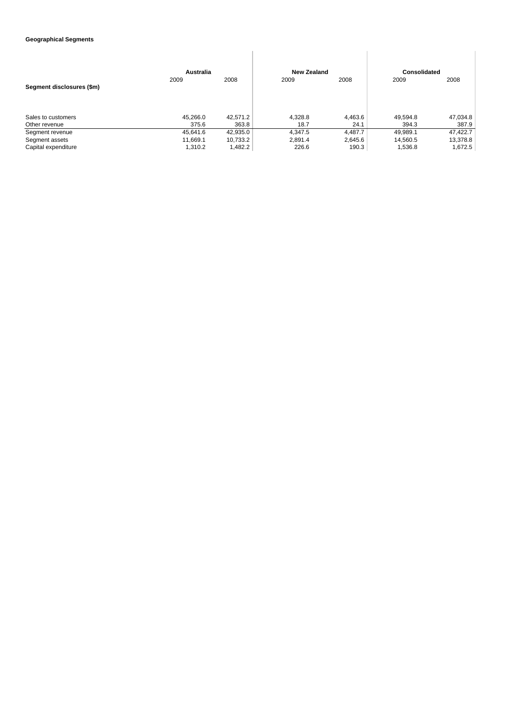#### **Geographical Segments**

|                           | Australia |          | <b>New Zealand</b> |         | Consolidated |          |
|---------------------------|-----------|----------|--------------------|---------|--------------|----------|
| Segment disclosures (\$m) | 2009      | 2008     | 2009               | 2008    | 2009         | 2008     |
| Sales to customers        | 45.266.0  | 42.571.2 | 4.328.8            | 4,463.6 | 49.594.8     | 47.034.8 |
| Other revenue             | 375.6     | 363.8    | 18.7               | 24.1    | 394.3        | 387.9    |
| Segment revenue           | 45.641.6  | 42,935.0 | 4,347.5            | 4,487.7 | 49.989.1     | 47.422.7 |
| Segment assets            | 11.669.1  | 10,733.2 | 2.891.4            | 2,645.6 | 14.560.5     | 13,378.8 |
| Capital expenditure       | 1.310.2   | 1,482.2  | 226.6              | 190.3   | 1,536.8      | 1.672.5  |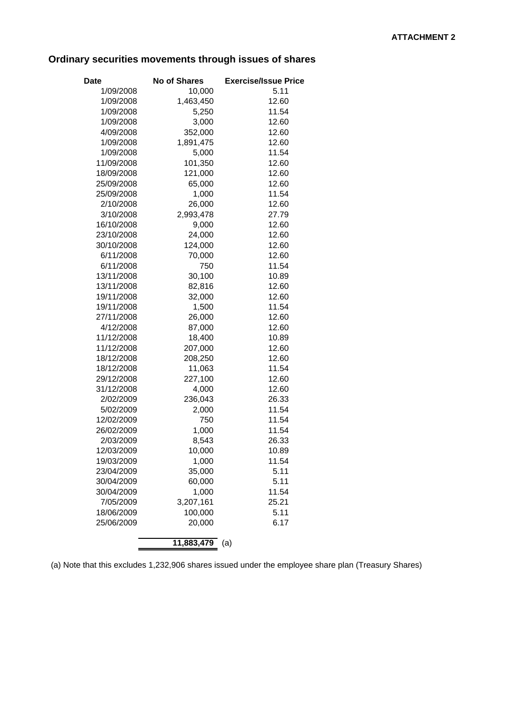# **Ordinary securities movements through issues of shares**

| Date                    | <b>No of Shares</b> | <b>Exercise/Issue Price</b> |
|-------------------------|---------------------|-----------------------------|
| 1/09/2008               | 10,000              | 5.11                        |
| 1/09/2008               | 1,463,450           | 12.60                       |
| 1/09/2008               | 5,250               | 11.54                       |
| 1/09/2008               | 3,000               | 12.60                       |
| 4/09/2008               | 352,000             | 12.60                       |
| 1/09/2008               | 1,891,475           | 12.60                       |
| 1/09/2008               | 5,000               | 11.54                       |
| 11/09/2008              | 101,350             | 12.60                       |
| 18/09/2008              | 121,000             | 12.60                       |
| 25/09/2008              | 65,000              | 12.60                       |
| 25/09/2008              | 1,000               | 11.54                       |
| 2/10/2008               | 26,000              | 12.60                       |
| 3/10/2008               | 2,993,478           | 27.79                       |
| 16/10/2008              | 9,000               | 12.60                       |
| 23/10/2008              | 24,000              | 12.60                       |
| 30/10/2008              | 124,000             | 12.60                       |
| 6/11/2008               | 70,000              | 12.60                       |
| 6/11/2008               | 750                 | 11.54                       |
| 13/11/2008              | 30,100              | 10.89                       |
| 13/11/2008              | 82,816              | 12.60                       |
| 19/11/2008              | 32,000              | 12.60                       |
| 19/11/2008              | 1,500               | 11.54                       |
| 27/11/2008              | 26,000              | 12.60                       |
| 4/12/2008               | 87,000              | 12.60                       |
| 11/12/2008              | 18,400              | 10.89                       |
| 11/12/2008              | 207,000             | 12.60                       |
| 18/12/2008              | 208,250             | 12.60                       |
| 18/12/2008              | 11,063              | 11.54                       |
| 29/12/2008              | 227,100             | 12.60                       |
| 31/12/2008              | 4,000               | 12.60                       |
| 2/02/2009               | 236,043             | 26.33                       |
| 5/02/2009               | 2,000               | 11.54                       |
| 12/02/2009              | 750                 | 11.54                       |
| 26/02/2009              | 1,000               | 11.54                       |
| 2/03/2009               | 8,543               | 26.33                       |
| 12/03/2009              | 10,000              | 10.89                       |
| 19/03/2009              | 1,000               | 11.54                       |
| 23/04/2009              | 35,000              | 5.11                        |
| 30/04/2009              | 60,000              | 5.11                        |
| 30/04/2009<br>7/05/2009 | 1,000<br>3,207,161  | 11.54<br>25.21              |
| 18/06/2009              | 100,000             | 5.11                        |
| 25/06/2009              | 20,000              | 6.17                        |
|                         |                     |                             |
|                         | 11,883,479          | (a)                         |

(a) Note that this excludes 1,232,906 shares issued under the employee share plan (Treasury Shares)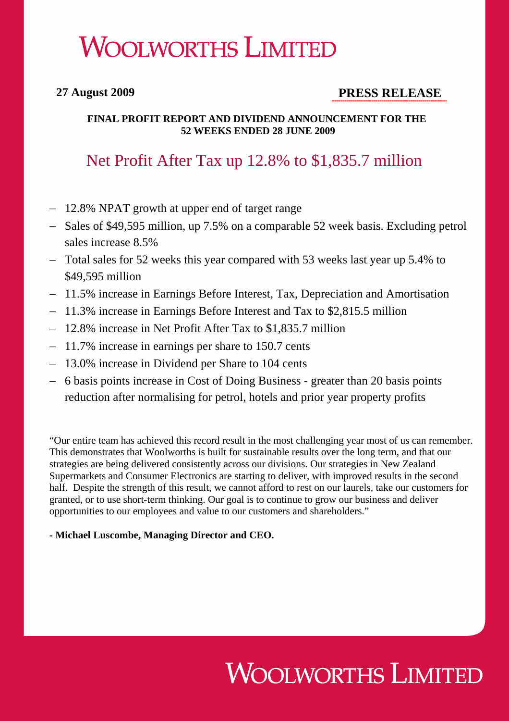# **WOOLWORTHS LIMITED**

# **27 August 2009 PRESS RELEASE**

#### **FINAL PROFIT REPORT AND DIVIDEND ANNOUNCEMENT FOR THE 52 WEEKS ENDED 28 JUNE 2009**

# Net Profit After Tax up 12.8% to \$1,835.7 million

- − 12.8% NPAT growth at upper end of target range
- − Sales of \$49,595 million, up 7.5% on a comparable 52 week basis. Excluding petrol sales increase 8.5%
- − Total sales for 52 weeks this year compared with 53 weeks last year up 5.4% to \$49,595 million
- − 11.5% increase in Earnings Before Interest, Tax, Depreciation and Amortisation
- − 11.3% increase in Earnings Before Interest and Tax to \$2,815.5 million
- − 12.8% increase in Net Profit After Tax to \$1,835.7 million
- − 11.7% increase in earnings per share to 150.7 cents
- − 13.0% increase in Dividend per Share to 104 cents
- − 6 basis points increase in Cost of Doing Business greater than 20 basis points reduction after normalising for petrol, hotels and prior year property profits

"Our entire team has achieved this record result in the most challenging year most of us can remember. This demonstrates that Woolworths is built for sustainable results over the long term, and that our strategies are being delivered consistently across our divisions. Our strategies in New Zealand Supermarkets and Consumer Electronics are starting to deliver, with improved results in the second half. Despite the strength of this result, we cannot afford to rest on our laurels, take our customers for granted, or to use short-term thinking. Our goal is to continue to grow our business and deliver opportunities to our employees and value to our customers and shareholders."

#### **- Michael Luscombe, Managing Director and CEO.**

# **WOOLWORTHS LIMITED**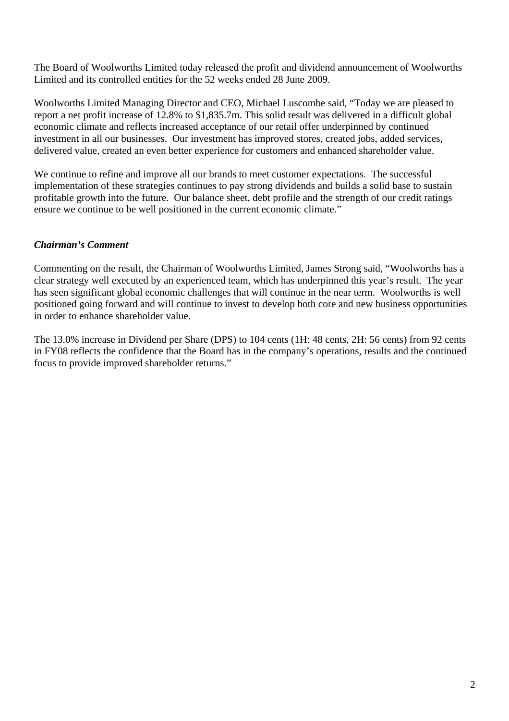The Board of Woolworths Limited today released the profit and dividend announcement of Woolworths Limited and its controlled entities for the 52 weeks ended 28 June 2009.

Woolworths Limited Managing Director and CEO, Michael Luscombe said, "Today we are pleased to report a net profit increase of 12.8% to \$1,835.7m. This solid result was delivered in a difficult global economic climate and reflects increased acceptance of our retail offer underpinned by continued investment in all our businesses. Our investment has improved stores, created jobs, added services, delivered value, created an even better experience for customers and enhanced shareholder value.

We continue to refine and improve all our brands to meet customer expectations. The successful implementation of these strategies continues to pay strong dividends and builds a solid base to sustain profitable growth into the future. Our balance sheet, debt profile and the strength of our credit ratings ensure we continue to be well positioned in the current economic climate."

### *Chairman's Comment*

Commenting on the result, the Chairman of Woolworths Limited, James Strong said, "Woolworths has a clear strategy well executed by an experienced team, which has underpinned this year's result. The year has seen significant global economic challenges that will continue in the near term. Woolworths is well positioned going forward and will continue to invest to develop both core and new business opportunities in order to enhance shareholder value.

The 13.0% increase in Dividend per Share (DPS) to 104 cents (1H: 48 cents, 2H: 56 cents) from 92 cents in FY08 reflects the confidence that the Board has in the company's operations, results and the continued focus to provide improved shareholder returns."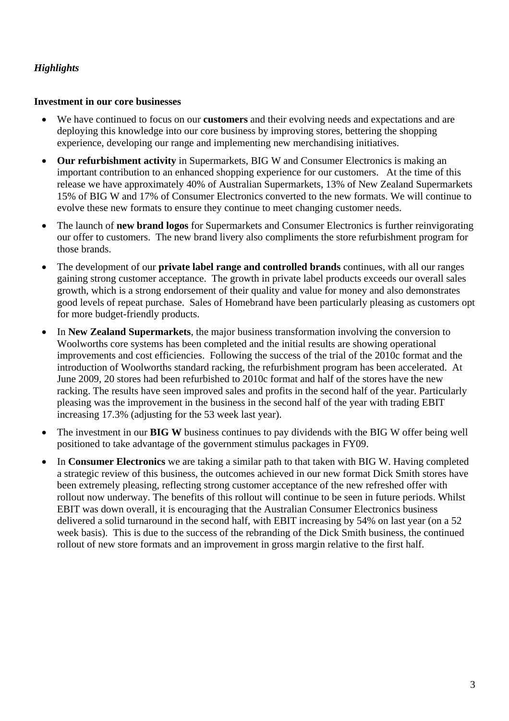### *Highlights*

#### **Investment in our core businesses**

- We have continued to focus on our **customers** and their evolving needs and expectations and are deploying this knowledge into our core business by improving stores, bettering the shopping experience, developing our range and implementing new merchandising initiatives.
- **Our refurbishment activity** in Supermarkets, BIG W and Consumer Electronics is making an important contribution to an enhanced shopping experience for our customers. At the time of this release we have approximately 40% of Australian Supermarkets, 13% of New Zealand Supermarkets 15% of BIG W and 17% of Consumer Electronics converted to the new formats. We will continue to evolve these new formats to ensure they continue to meet changing customer needs.
- The launch of **new brand logos** for Supermarkets and Consumer Electronics is further reinvigorating our offer to customers. The new brand livery also compliments the store refurbishment program for those brands.
- The development of our **private label range and controlled brands** continues, with all our ranges gaining strong customer acceptance. The growth in private label products exceeds our overall sales growth, which is a strong endorsement of their quality and value for money and also demonstrates good levels of repeat purchase. Sales of Homebrand have been particularly pleasing as customers opt for more budget-friendly products.
- In **New Zealand Supermarkets**, the major business transformation involving the conversion to Woolworths core systems has been completed and the initial results are showing operational improvements and cost efficiencies. Following the success of the trial of the 2010c format and the introduction of Woolworths standard racking, the refurbishment program has been accelerated. At June 2009, 20 stores had been refurbished to 2010c format and half of the stores have the new racking. The results have seen improved sales and profits in the second half of the year. Particularly pleasing was the improvement in the business in the second half of the year with trading EBIT increasing 17.3% (adjusting for the 53 week last year).
- The investment in our **BIG W** business continues to pay dividends with the BIG W offer being well positioned to take advantage of the government stimulus packages in FY09.
- In **Consumer Electronics** we are taking a similar path to that taken with BIG W. Having completed a strategic review of this business, the outcomes achieved in our new format Dick Smith stores have been extremely pleasing, reflecting strong customer acceptance of the new refreshed offer with rollout now underway. The benefits of this rollout will continue to be seen in future periods. Whilst EBIT was down overall, it is encouraging that the Australian Consumer Electronics business delivered a solid turnaround in the second half, with EBIT increasing by 54% on last year (on a 52 week basis). This is due to the success of the rebranding of the Dick Smith business, the continued rollout of new store formats and an improvement in gross margin relative to the first half.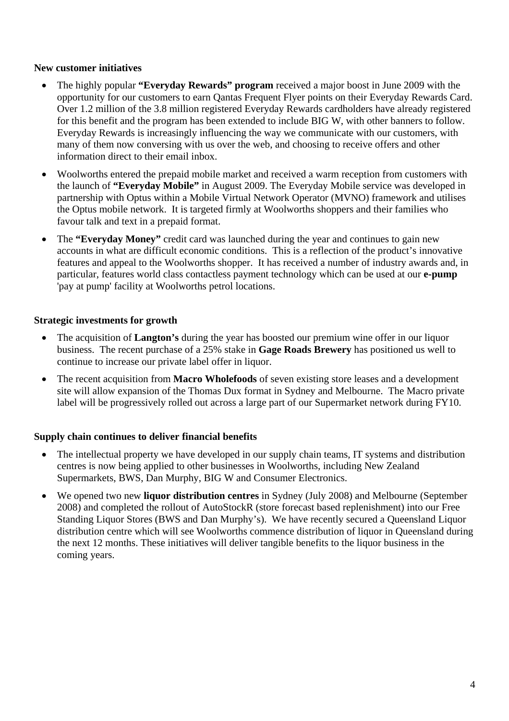#### **New customer initiatives**

- The highly popular **"Everyday Rewards" program** received a major boost in June 2009 with the opportunity for our customers to earn Qantas Frequent Flyer points on their Everyday Rewards Card. Over 1.2 million of the 3.8 million registered Everyday Rewards cardholders have already registered for this benefit and the program has been extended to include BIG W, with other banners to follow. Everyday Rewards is increasingly influencing the way we communicate with our customers, with many of them now conversing with us over the web, and choosing to receive offers and other information direct to their email inbox.
- Woolworths entered the prepaid mobile market and received a warm reception from customers with the launch of **"Everyday Mobile"** in August 2009. The Everyday Mobile service was developed in partnership with Optus within a Mobile Virtual Network Operator (MVNO) framework and utilises the Optus mobile network. It is targeted firmly at Woolworths shoppers and their families who favour talk and text in a prepaid format.
- The **"Everyday Money"** credit card was launched during the year and continues to gain new accounts in what are difficult economic conditions. This is a reflection of the product's innovative features and appeal to the Woolworths shopper. It has received a number of industry awards and, in particular, features world class contactless payment technology which can be used at our **e-pump** 'pay at pump' facility at Woolworths petrol locations.

#### **Strategic investments for growth**

- The acquisition of **Langton's** during the year has boosted our premium wine offer in our liquor business. The recent purchase of a 25% stake in **Gage Roads Brewery** has positioned us well to continue to increase our private label offer in liquor.
- The recent acquisition from **Macro Wholefoods** of seven existing store leases and a development site will allow expansion of the Thomas Dux format in Sydney and Melbourne. The Macro private label will be progressively rolled out across a large part of our Supermarket network during FY10.

#### **Supply chain continues to deliver financial benefits**

- The intellectual property we have developed in our supply chain teams, IT systems and distribution centres is now being applied to other businesses in Woolworths, including New Zealand Supermarkets, BWS, Dan Murphy, BIG W and Consumer Electronics.
- We opened two new **liquor distribution centres** in Sydney (July 2008) and Melbourne (September 2008) and completed the rollout of AutoStockR (store forecast based replenishment) into our Free Standing Liquor Stores (BWS and Dan Murphy's). We have recently secured a Queensland Liquor distribution centre which will see Woolworths commence distribution of liquor in Queensland during the next 12 months. These initiatives will deliver tangible benefits to the liquor business in the coming years.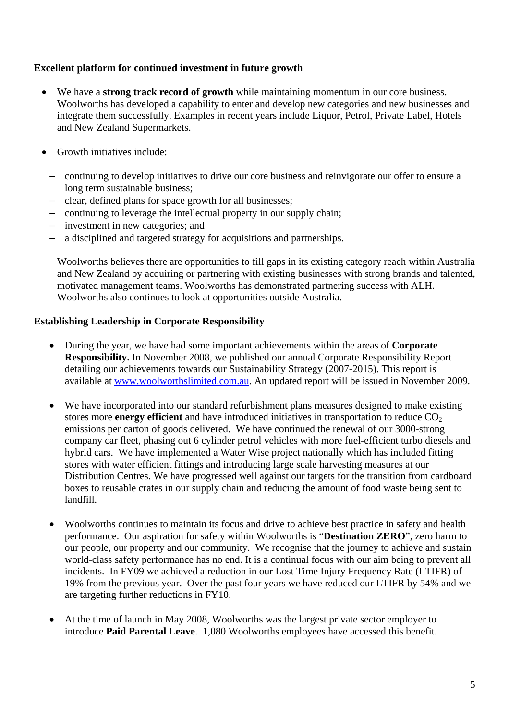#### **Excellent platform for continued investment in future growth**

- We have a **strong track record of growth** while maintaining momentum in our core business. Woolworths has developed a capability to enter and develop new categories and new businesses and integrate them successfully. Examples in recent years include Liquor, Petrol, Private Label, Hotels and New Zealand Supermarkets.
- Growth initiatives include:
	- − continuing to develop initiatives to drive our core business and reinvigorate our offer to ensure a long term sustainable business;
	- − clear, defined plans for space growth for all businesses;
	- − continuing to leverage the intellectual property in our supply chain;
	- − investment in new categories; and
	- − a disciplined and targeted strategy for acquisitions and partnerships.

Woolworths believes there are opportunities to fill gaps in its existing category reach within Australia and New Zealand by acquiring or partnering with existing businesses with strong brands and talented, motivated management teams. Woolworths has demonstrated partnering success with ALH. Woolworths also continues to look at opportunities outside Australia.

#### **Establishing Leadership in Corporate Responsibility**

- During the year, we have had some important achievements within the areas of **Corporate Responsibility.** In November 2008, we published our annual Corporate Responsibility Report detailing our achievements towards our Sustainability Strategy (2007-2015). This report is available at www.woolworthslimited.com.au. An updated report will be issued in November 2009.
- We have incorporated into our standard refurbishment plans measures designed to make existing stores more **energy efficient** and have introduced initiatives in transportation to reduce CO<sub>2</sub> emissions per carton of goods delivered. We have continued the renewal of our 3000-strong company car fleet, phasing out 6 cylinder petrol vehicles with more fuel-efficient turbo diesels and hybrid cars. We have implemented a Water Wise project nationally which has included fitting stores with water efficient fittings and introducing large scale harvesting measures at our Distribution Centres. We have progressed well against our targets for the transition from cardboard boxes to reusable crates in our supply chain and reducing the amount of food waste being sent to landfill.
- Woolworths continues to maintain its focus and drive to achieve best practice in safety and health performance. Our aspiration for safety within Woolworths is "**Destination ZERO**", zero harm to our people, our property and our community. We recognise that the journey to achieve and sustain world-class safety performance has no end. It is a continual focus with our aim being to prevent all incidents. In FY09 we achieved a reduction in our Lost Time Injury Frequency Rate (LTIFR) of 19% from the previous year. Over the past four years we have reduced our LTIFR by 54% and we are targeting further reductions in FY10.
- At the time of launch in May 2008, Woolworths was the largest private sector employer to introduce **Paid Parental Leave**. 1,080 Woolworths employees have accessed this benefit.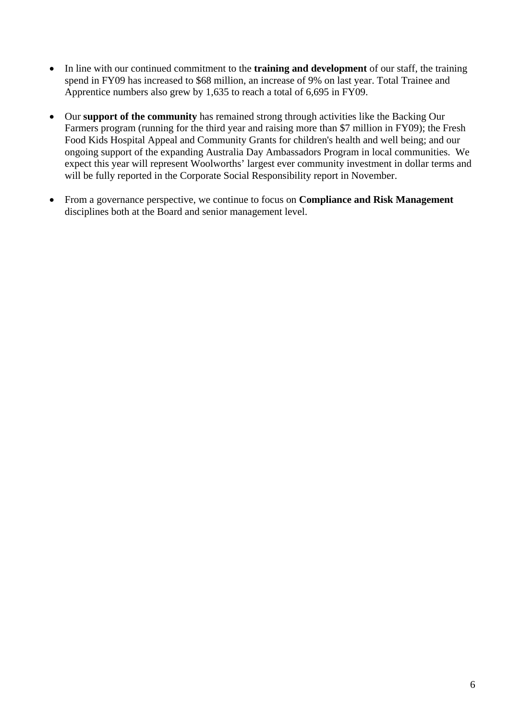- In line with our continued commitment to the **training and development** of our staff, the training spend in FY09 has increased to \$68 million, an increase of 9% on last year. Total Trainee and Apprentice numbers also grew by 1,635 to reach a total of 6,695 in FY09.
- Our **support of the community** has remained strong through activities like the Backing Our Farmers program (running for the third year and raising more than \$7 million in FY09); the Fresh Food Kids Hospital Appeal and Community Grants for children's health and well being; and our ongoing support of the expanding Australia Day Ambassadors Program in local communities. We expect this year will represent Woolworths' largest ever community investment in dollar terms and will be fully reported in the Corporate Social Responsibility report in November.
- From a governance perspective, we continue to focus on **Compliance and Risk Management** disciplines both at the Board and senior management level.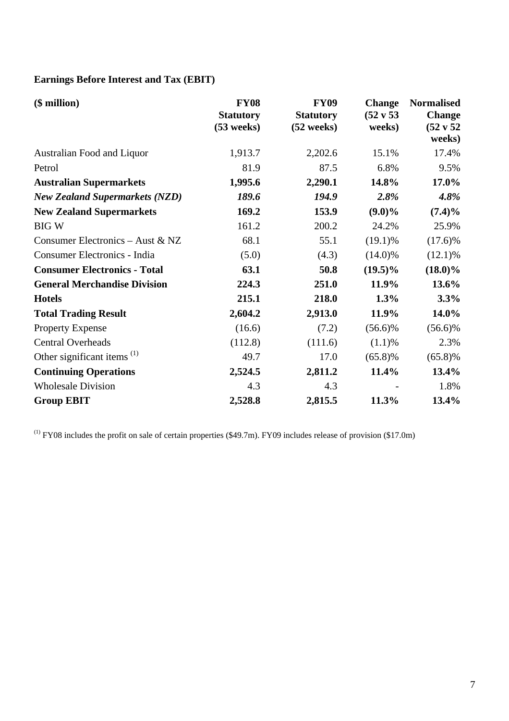# **Earnings Before Interest and Tax (EBIT)**

| $($$ million $)$                       | <b>FY08</b><br><b>Statutory</b><br>$(53$ weeks) | <b>FY09</b><br><b>Statutory</b><br>$(52 \text{ weeks})$ | <b>Change</b><br>$(52 \text{ v } 53)$<br>weeks) | <b>Normalised</b><br><b>Change</b><br>$(52 \text{ v } 52)$<br>weeks) |
|----------------------------------------|-------------------------------------------------|---------------------------------------------------------|-------------------------------------------------|----------------------------------------------------------------------|
| Australian Food and Liquor             | 1,913.7                                         | 2,202.6                                                 | 15.1%                                           | 17.4%                                                                |
| Petrol                                 | 81.9                                            | 87.5                                                    | 6.8%                                            | 9.5%                                                                 |
| <b>Australian Supermarkets</b>         | 1,995.6                                         | 2,290.1                                                 | 14.8%                                           | 17.0%                                                                |
| <b>New Zealand Supermarkets (NZD)</b>  | 189.6                                           | 194.9                                                   | 2.8%                                            | 4.8%                                                                 |
| <b>New Zealand Supermarkets</b>        | 169.2                                           | 153.9                                                   | $(9.0)\%$                                       | $(7.4)\%$                                                            |
| <b>BIGW</b>                            | 161.2                                           | 200.2                                                   | 24.2%                                           | 25.9%                                                                |
| Consumer Electronics - Aust & NZ       | 68.1                                            | 55.1                                                    | $(19.1)\%$                                      | $(17.6)\%$                                                           |
| Consumer Electronics - India           | (5.0)                                           | (4.3)                                                   | $(14.0)\%$                                      | $(12.1)\%$                                                           |
| <b>Consumer Electronics - Total</b>    | 63.1                                            | 50.8                                                    | $(19.5)\%$                                      | $(18.0)\%$                                                           |
| <b>General Merchandise Division</b>    | 224.3                                           | 251.0                                                   | 11.9%                                           | 13.6%                                                                |
| <b>Hotels</b>                          | 215.1                                           | 218.0                                                   | 1.3%                                            | 3.3%                                                                 |
| <b>Total Trading Result</b>            | 2,604.2                                         | 2,913.0                                                 | 11.9%                                           | 14.0%                                                                |
| <b>Property Expense</b>                | (16.6)                                          | (7.2)                                                   | $(56.6)\%$                                      | $(56.6)\%$                                                           |
| <b>Central Overheads</b>               | (112.8)                                         | (111.6)                                                 | (1.1)%                                          | 2.3%                                                                 |
| Other significant items <sup>(1)</sup> | 49.7                                            | 17.0                                                    | $(65.8)\%$                                      | $(65.8)\%$                                                           |
| <b>Continuing Operations</b>           | 2,524.5                                         | 2,811.2                                                 | 11.4%                                           | 13.4%                                                                |
| <b>Wholesale Division</b>              | 4.3                                             | 4.3                                                     |                                                 | 1.8%                                                                 |
| <b>Group EBIT</b>                      | 2,528.8                                         | 2,815.5                                                 | 11.3%                                           | 13.4%                                                                |

 $(1)$  FY08 includes the profit on sale of certain properties (\$49.7m). FY09 includes release of provision (\$17.0m)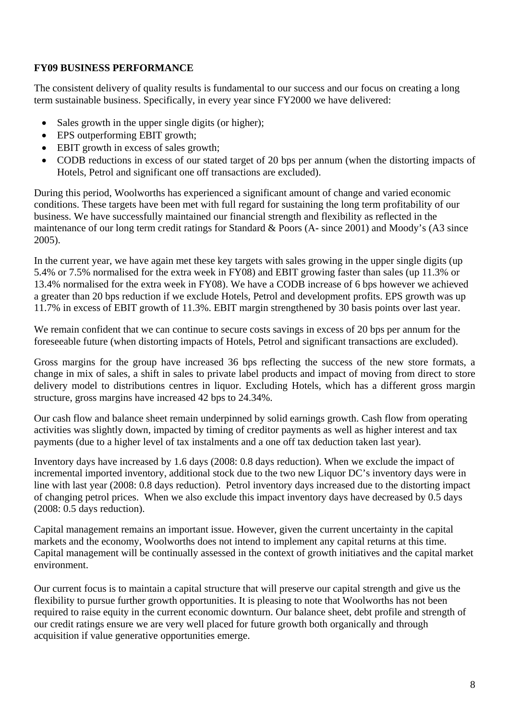#### **FY09 BUSINESS PERFORMANCE**

The consistent delivery of quality results is fundamental to our success and our focus on creating a long term sustainable business. Specifically, in every year since FY2000 we have delivered:

- Sales growth in the upper single digits (or higher);
- EPS outperforming EBIT growth;
- EBIT growth in excess of sales growth:
- CODB reductions in excess of our stated target of 20 bps per annum (when the distorting impacts of Hotels, Petrol and significant one off transactions are excluded).

During this period, Woolworths has experienced a significant amount of change and varied economic conditions. These targets have been met with full regard for sustaining the long term profitability of our business. We have successfully maintained our financial strength and flexibility as reflected in the maintenance of our long term credit ratings for Standard & Poors (A- since 2001) and Moody's (A3 since 2005).

In the current year, we have again met these key targets with sales growing in the upper single digits (up 5.4% or 7.5% normalised for the extra week in FY08) and EBIT growing faster than sales (up 11.3% or 13.4% normalised for the extra week in FY08). We have a CODB increase of 6 bps however we achieved a greater than 20 bps reduction if we exclude Hotels, Petrol and development profits. EPS growth was up 11.7% in excess of EBIT growth of 11.3%. EBIT margin strengthened by 30 basis points over last year.

We remain confident that we can continue to secure costs savings in excess of 20 bps per annum for the foreseeable future (when distorting impacts of Hotels, Petrol and significant transactions are excluded).

Gross margins for the group have increased 36 bps reflecting the success of the new store formats, a change in mix of sales, a shift in sales to private label products and impact of moving from direct to store delivery model to distributions centres in liquor. Excluding Hotels, which has a different gross margin structure, gross margins have increased 42 bps to 24.34%.

Our cash flow and balance sheet remain underpinned by solid earnings growth. Cash flow from operating activities was slightly down, impacted by timing of creditor payments as well as higher interest and tax payments (due to a higher level of tax instalments and a one off tax deduction taken last year).

Inventory days have increased by 1.6 days (2008: 0.8 days reduction). When we exclude the impact of incremental imported inventory, additional stock due to the two new Liquor DC's inventory days were in line with last year (2008: 0.8 days reduction). Petrol inventory days increased due to the distorting impact of changing petrol prices. When we also exclude this impact inventory days have decreased by 0.5 days (2008: 0.5 days reduction).

Capital management remains an important issue. However, given the current uncertainty in the capital markets and the economy, Woolworths does not intend to implement any capital returns at this time. Capital management will be continually assessed in the context of growth initiatives and the capital market environment.

Our current focus is to maintain a capital structure that will preserve our capital strength and give us the flexibility to pursue further growth opportunities. It is pleasing to note that Woolworths has not been required to raise equity in the current economic downturn. Our balance sheet, debt profile and strength of our credit ratings ensure we are very well placed for future growth both organically and through acquisition if value generative opportunities emerge.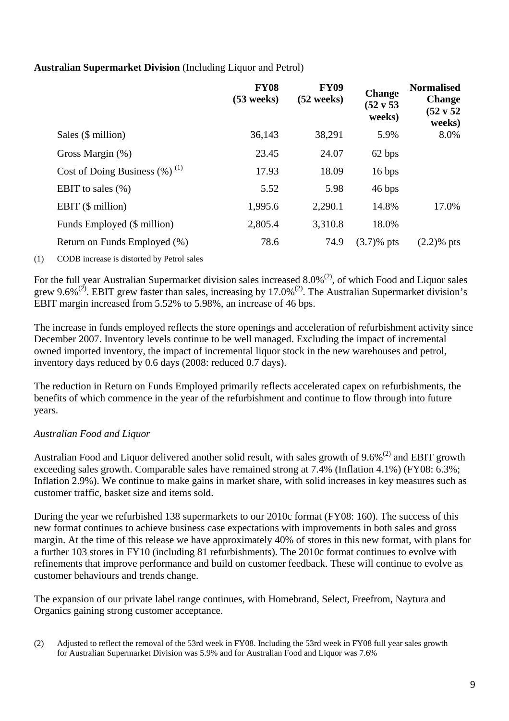#### **Australian Supermarket Division** (Including Liquor and Petrol)

|                                              | <b>FY08</b><br>$(53$ weeks) | <b>FY09</b><br>$(52$ weeks) | <b>Change</b><br>(52 v 53<br>weeks) | <b>Normalised</b><br><b>Change</b><br>$(52 \text{ v } 52)$<br>weeks) |
|----------------------------------------------|-----------------------------|-----------------------------|-------------------------------------|----------------------------------------------------------------------|
| Sales $(\$$ million $)$                      | 36,143                      | 38,291                      | 5.9%                                | 8.0%                                                                 |
| Gross Margin (%)                             | 23.45                       | 24.07                       | 62 bps                              |                                                                      |
| Cost of Doing Business $(\%)$ <sup>(1)</sup> | 17.93                       | 18.09                       | 16 bps                              |                                                                      |
| EBIT to sales $(\%)$                         | 5.52                        | 5.98                        | 46 bps                              |                                                                      |
| EBIT $(\$$ million)                          | 1,995.6                     | 2,290.1                     | 14.8%                               | 17.0%                                                                |
| Funds Employed (\$ million)                  | 2,805.4                     | 3,310.8                     | 18.0%                               |                                                                      |
| Return on Funds Employed (%)                 | 78.6                        | 74.9                        | $(3.7)$ % pts                       | $(2.2)$ % pts                                                        |

(1) CODB increase is distorted by Petrol sales

For the full year Australian Supermarket division sales increased  $8.0\%$ <sup>(2)</sup>, of which Food and Liquor sales grew 9.6%<sup>(2)</sup>. EBIT grew faster than sales, increasing by 17.0%<sup>(2)</sup>. The Australian Supermarket division's EBIT margin increased from 5.52% to 5.98%, an increase of 46 bps.

The increase in funds employed reflects the store openings and acceleration of refurbishment activity since December 2007. Inventory levels continue to be well managed. Excluding the impact of incremental owned imported inventory, the impact of incremental liquor stock in the new warehouses and petrol, inventory days reduced by 0.6 days (2008: reduced 0.7 days).

The reduction in Return on Funds Employed primarily reflects accelerated capex on refurbishments, the benefits of which commence in the year of the refurbishment and continue to flow through into future years.

### *Australian Food and Liquor*

Australian Food and Liquor delivered another solid result, with sales growth of 9.6%<sup>(2)</sup> and EBIT growth exceeding sales growth. Comparable sales have remained strong at 7.4% (Inflation 4.1%) (FY08: 6.3%; Inflation 2.9%). We continue to make gains in market share, with solid increases in key measures such as customer traffic, basket size and items sold.

During the year we refurbished 138 supermarkets to our 2010c format (FY08: 160). The success of this new format continues to achieve business case expectations with improvements in both sales and gross margin. At the time of this release we have approximately 40% of stores in this new format, with plans for a further 103 stores in FY10 (including 81 refurbishments). The 2010c format continues to evolve with refinements that improve performance and build on customer feedback. These will continue to evolve as customer behaviours and trends change.

The expansion of our private label range continues, with Homebrand, Select, Freefrom, Naytura and Organics gaining strong customer acceptance.

(2) Adjusted to reflect the removal of the 53rd week in FY08. Including the 53rd week in FY08 full year sales growth for Australian Supermarket Division was 5.9% and for Australian Food and Liquor was 7.6%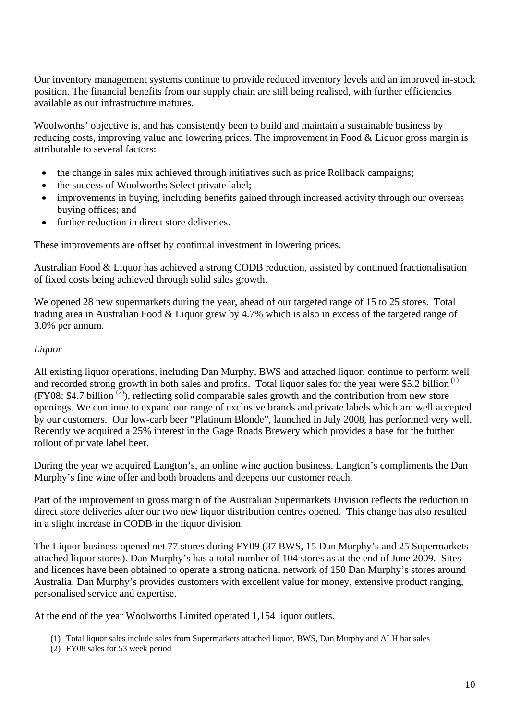Our inventory management systems continue to provide reduced inventory levels and an improved in-stock position. The financial benefits from our supply chain are still being realised, with further efficiencies available as our infrastructure matures.

Woolworths' objective is, and has consistently been to build and maintain a sustainable business by reducing costs, improving value and lowering prices. The improvement in Food & Liquor gross margin is attributable to several factors:

- the change in sales mix achieved through initiatives such as price Rollback campaigns;
- the success of Woolworths Select private label;
- improvements in buying, including benefits gained through increased activity through our overseas buying offices; and
- further reduction in direct store deliveries.

These improvements are offset by continual investment in lowering prices.

Australian Food & Liquor has achieved a strong CODB reduction, assisted by continued fractionalisation of fixed costs being achieved through solid sales growth.

We opened 28 new supermarkets during the year, ahead of our targeted range of 15 to 25 stores. Total trading area in Australian Food & Liquor grew by 4.7% which is also in excess of the targeted range of 3.0% per annum.

#### *Liquor*

All existing liquor operations, including Dan Murphy, BWS and attached liquor, continue to perform well and recorded strong growth in both sales and profits. Total liquor sales for the year were \$5.2 billion<sup>(1)</sup>  $(FY08: $4.7 billion^{(2)}),$  reflecting solid comparable sales growth and the contribution from new store openings. We continue to expand our range of exclusive brands and private labels which are well accepted by our customers. Our low-carb beer "Platinum Blonde", launched in July 2008, has performed very well. Recently we acquired a 25% interest in the Gage Roads Brewery which provides a base for the further rollout of private label beer.

During the year we acquired Langton's, an online wine auction business. Langton's compliments the Dan Murphy's fine wine offer and both broadens and deepens our customer reach.

Part of the improvement in gross margin of the Australian Supermarkets Division reflects the reduction in direct store deliveries after our two new liquor distribution centres opened. This change has also resulted in a slight increase in CODB in the liquor division.

The Liquor business opened net 77 stores during FY09 (37 BWS, 15 Dan Murphy's and 25 Supermarkets attached liquor stores). Dan Murphy's has a total number of 104 stores as at the end of June 2009. Sites and licences have been obtained to operate a strong national network of 150 Dan Murphy's stores around Australia. Dan Murphy's provides customers with excellent value for money, extensive product ranging, personalised service and expertise.

At the end of the year Woolworths Limited operated 1,154 liquor outlets.

- (1) Total liquor sales include sales from Supermarkets attached liquor, BWS, Dan Murphy and ALH bar sales
- (2) FY08 sales for 53 week period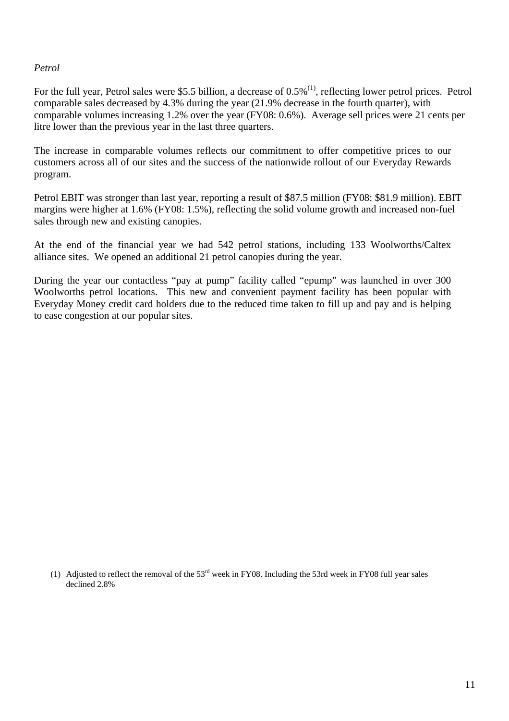#### *Petrol*

For the full year, Petrol sales were \$5.5 billion, a decrease of 0.5%<sup>(1)</sup>, reflecting lower petrol prices. Petrol comparable sales decreased by 4.3% during the year (21.9% decrease in the fourth quarter), with comparable volumes increasing 1.2% over the year (FY08: 0.6%). Average sell prices were 21 cents per litre lower than the previous year in the last three quarters.

The increase in comparable volumes reflects our commitment to offer competitive prices to our customers across all of our sites and the success of the nationwide rollout of our Everyday Rewards program.

Petrol EBIT was stronger than last year, reporting a result of \$87.5 million (FY08: \$81.9 million). EBIT margins were higher at 1.6% (FY08: 1.5%), reflecting the solid volume growth and increased non-fuel sales through new and existing canopies.

At the end of the financial year we had 542 petrol stations, including 133 Woolworths/Caltex alliance sites. We opened an additional 21 petrol canopies during the year.

During the year our contactless "pay at pump" facility called "epump" was launched in over 300 Woolworths petrol locations. This new and convenient payment facility has been popular with Everyday Money credit card holders due to the reduced time taken to fill up and pay and is helping to ease congestion at our popular sites.

(1) Adjusted to reflect the removal of the 53rd week in FY08. Including the 53rd week in FY08 full year sales declined 2.8%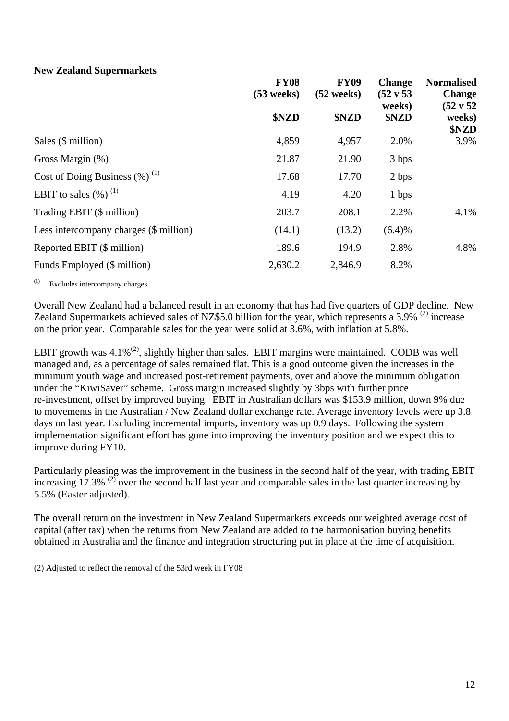#### **New Zealand Supermarkets**

|              | <b>FY09</b>          | <b>Change</b>        | <b>Normalised</b>              |  |
|--------------|----------------------|----------------------|--------------------------------|--|
| $(53$ weeks) | $(52$ weeks)         | $(52 \text{ v } 53)$ | <b>Change</b>                  |  |
| \$NZD        | \$NZD                | \$NZD                | $(52 \text{ v } 52)$<br>weeks) |  |
|              |                      |                      | \$NZD                          |  |
|              |                      |                      | 3.9%                           |  |
| 21.87        | 21.90                | 3 bps                |                                |  |
| 17.68        | 17.70                | 2 bps                |                                |  |
| 4.19         | 4.20                 | 1 bps                |                                |  |
| 203.7        | 208.1                | 2.2%                 | 4.1%                           |  |
| (14.1)       | (13.2)               | (6.4)%               |                                |  |
| 189.6        | 194.9                | 2.8%                 | 4.8%                           |  |
| 2,630.2      | 2,846.9              | 8.2%                 |                                |  |
|              | <b>FY08</b><br>4,859 | 4,957                | weeks)<br>2.0%                 |  |

(1) Excludes intercompany charges

Overall New Zealand had a balanced result in an economy that has had five quarters of GDP decline. New Zealand Supermarkets achieved sales of NZ\$5.0 billion for the year, which represents a 3.9% <sup>(2)</sup> increase on the prior year. Comparable sales for the year were solid at 3.6%, with inflation at 5.8%.

EBIT growth was  $4.1\%^{(2)}$ , slightly higher than sales. EBIT margins were maintained. CODB was well managed and, as a percentage of sales remained flat. This is a good outcome given the increases in the minimum youth wage and increased post-retirement payments, over and above the minimum obligation under the "KiwiSaver" scheme. Gross margin increased slightly by 3bps with further price re-investment, offset by improved buying. EBIT in Australian dollars was \$153.9 million, down 9% due to movements in the Australian / New Zealand dollar exchange rate. Average inventory levels were up 3.8 days on last year. Excluding incremental imports, inventory was up 0.9 days. Following the system implementation significant effort has gone into improving the inventory position and we expect this to improve during FY10.

Particularly pleasing was the improvement in the business in the second half of the year, with trading EBIT increasing  $17.3\%$  <sup>(2)</sup> over the second half last year and comparable sales in the last quarter increasing by 5.5% (Easter adjusted).

The overall return on the investment in New Zealand Supermarkets exceeds our weighted average cost of capital (after tax) when the returns from New Zealand are added to the harmonisation buying benefits obtained in Australia and the finance and integration structuring put in place at the time of acquisition.

(2) Adjusted to reflect the removal of the 53rd week in FY08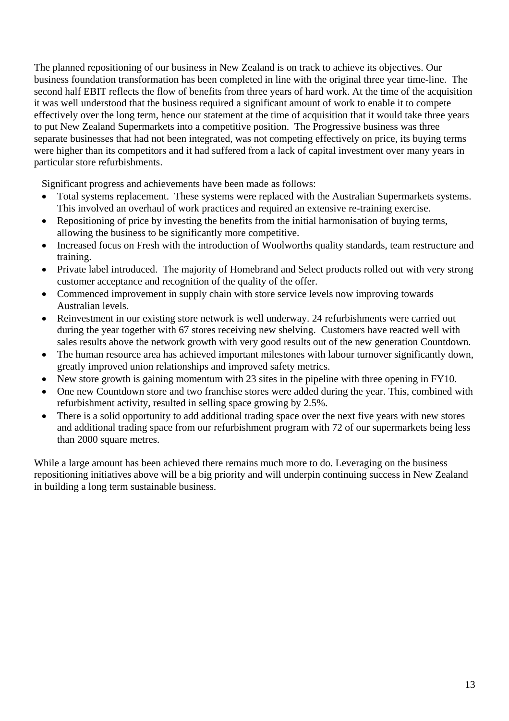The planned repositioning of our business in New Zealand is on track to achieve its objectives. Our business foundation transformation has been completed in line with the original three year time-line. The second half EBIT reflects the flow of benefits from three years of hard work. At the time of the acquisition it was well understood that the business required a significant amount of work to enable it to compete effectively over the long term, hence our statement at the time of acquisition that it would take three years to put New Zealand Supermarkets into a competitive position. The Progressive business was three separate businesses that had not been integrated, was not competing effectively on price, its buying terms were higher than its competitors and it had suffered from a lack of capital investment over many years in particular store refurbishments.

Significant progress and achievements have been made as follows:

- Total systems replacement. These systems were replaced with the Australian Supermarkets systems. This involved an overhaul of work practices and required an extensive re-training exercise.
- Repositioning of price by investing the benefits from the initial harmonisation of buying terms, allowing the business to be significantly more competitive.
- Increased focus on Fresh with the introduction of Woolworths quality standards, team restructure and training.
- Private label introduced. The majority of Homebrand and Select products rolled out with very strong customer acceptance and recognition of the quality of the offer.
- Commenced improvement in supply chain with store service levels now improving towards Australian levels.
- Reinvestment in our existing store network is well underway. 24 refurbishments were carried out during the year together with 67 stores receiving new shelving. Customers have reacted well with sales results above the network growth with very good results out of the new generation Countdown.
- The human resource area has achieved important milestones with labour turnover significantly down, greatly improved union relationships and improved safety metrics.
- New store growth is gaining momentum with 23 sites in the pipeline with three opening in FY10.
- One new Countdown store and two franchise stores were added during the year. This, combined with refurbishment activity, resulted in selling space growing by 2.5%.
- There is a solid opportunity to add additional trading space over the next five years with new stores and additional trading space from our refurbishment program with 72 of our supermarkets being less than 2000 square metres.

While a large amount has been achieved there remains much more to do. Leveraging on the business repositioning initiatives above will be a big priority and will underpin continuing success in New Zealand in building a long term sustainable business.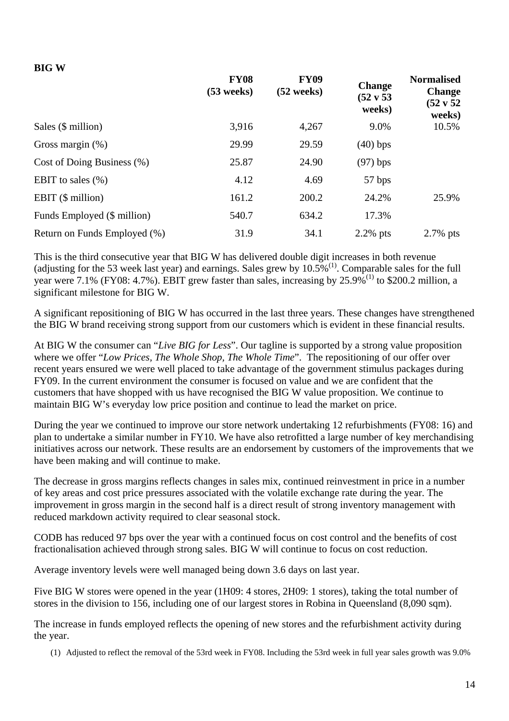#### **BIG W**

|                              | <b>FY08</b><br>$(53$ weeks) | <b>FY09</b><br>$(52 \text{ weeks})$ | <b>Change</b><br>(52 v 53<br>weeks) | <b>Normalised</b><br><b>Change</b><br>(52 v 52<br>weeks) |
|------------------------------|-----------------------------|-------------------------------------|-------------------------------------|----------------------------------------------------------|
| Sales $(\$$ million)         | 3,916                       | 4,267                               | 9.0%                                | 10.5%                                                    |
| Gross margin $(\%)$          | 29.99                       | 29.59                               | $(40)$ bps                          |                                                          |
| Cost of Doing Business (%)   | 25.87                       | 24.90                               | $(97)$ bps                          |                                                          |
| EBIT to sales $(\% )$        | 4.12                        | 4.69                                | 57 bps                              |                                                          |
| EBIT $(\$$ million)          | 161.2                       | 200.2                               | 24.2%                               | 25.9%                                                    |
| Funds Employed (\$ million)  | 540.7                       | 634.2                               | 17.3%                               |                                                          |
| Return on Funds Employed (%) | 31.9                        | 34.1                                | $2.2\%$ pts                         | $2.7\%$ pts                                              |

This is the third consecutive year that BIG W has delivered double digit increases in both revenue (adjusting for the 53 week last year) and earnings. Sales grew by  $10.5\%$ <sup>(1)</sup>. Comparable sales for the full year were 7.1% (FY08: 4.7%). EBIT grew faster than sales, increasing by 25.9%(1) to \$200.2 million, a significant milestone for BIG W.

A significant repositioning of BIG W has occurred in the last three years. These changes have strengthened the BIG W brand receiving strong support from our customers which is evident in these financial results.

At BIG W the consumer can "*Live BIG for Less*". Our tagline is supported by a strong value proposition where we offer "*Low Prices, The Whole Shop, The Whole Time*". The repositioning of our offer over recent years ensured we were well placed to take advantage of the government stimulus packages during FY09. In the current environment the consumer is focused on value and we are confident that the customers that have shopped with us have recognised the BIG W value proposition. We continue to maintain BIG W's everyday low price position and continue to lead the market on price.

During the year we continued to improve our store network undertaking 12 refurbishments (FY08: 16) and plan to undertake a similar number in FY10. We have also retrofitted a large number of key merchandising initiatives across our network. These results are an endorsement by customers of the improvements that we have been making and will continue to make.

The decrease in gross margins reflects changes in sales mix, continued reinvestment in price in a number of key areas and cost price pressures associated with the volatile exchange rate during the year. The improvement in gross margin in the second half is a direct result of strong inventory management with reduced markdown activity required to clear seasonal stock.

CODB has reduced 97 bps over the year with a continued focus on cost control and the benefits of cost fractionalisation achieved through strong sales. BIG W will continue to focus on cost reduction.

Average inventory levels were well managed being down 3.6 days on last year.

Five BIG W stores were opened in the year (1H09: 4 stores, 2H09: 1 stores), taking the total number of stores in the division to 156, including one of our largest stores in Robina in Queensland (8,090 sqm).

The increase in funds employed reflects the opening of new stores and the refurbishment activity during the year.

(1) Adjusted to reflect the removal of the 53rd week in FY08. Including the 53rd week in full year sales growth was 9.0%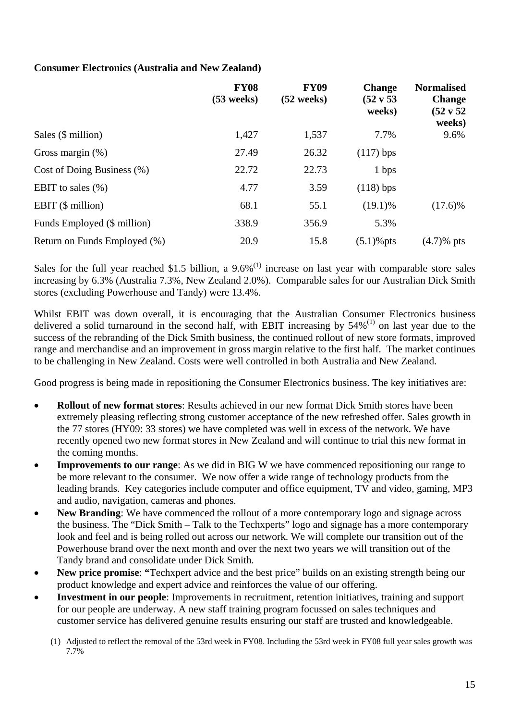#### **Consumer Electronics (Australia and New Zealand)**

|                               | <b>FY08</b><br>$(53$ weeks) | <b>FY09</b><br>$(52 \text{ weeks})$ | <b>Change</b><br>$(52 \text{ v } 53)$<br>weeks) | <b>Normalised</b><br><b>Change</b><br>(52 v 52<br>weeks) |
|-------------------------------|-----------------------------|-------------------------------------|-------------------------------------------------|----------------------------------------------------------|
| Sales (\$ million)            | 1,427                       | 1,537                               | 7.7%                                            | 9.6%                                                     |
| Gross margin $(\%)$           | 27.49                       | 26.32                               | $(117)$ bps                                     |                                                          |
| Cost of Doing Business $(\%)$ | 22.72                       | 22.73                               | 1 bps                                           |                                                          |
| EBIT to sales $(\%)$          | 4.77                        | 3.59                                | $(118)$ bps                                     |                                                          |
| EBIT (\$ million)             | 68.1                        | 55.1                                | $(19.1)\%$                                      | $(17.6)\%$                                               |
| Funds Employed (\$ million)   | 338.9                       | 356.9                               | 5.3%                                            |                                                          |
| Return on Funds Employed (%)  | 20.9                        | 15.8                                | $(5.1)$ % pts                                   | $(4.7)$ % pts                                            |

Sales for the full year reached \$1.5 billion, a  $9.6\%$ <sup>(1)</sup> increase on last year with comparable store sales increasing by 6.3% (Australia 7.3%, New Zealand 2.0%). Comparable sales for our Australian Dick Smith stores (excluding Powerhouse and Tandy) were 13.4%.

Whilst EBIT was down overall, it is encouraging that the Australian Consumer Electronics business delivered a solid turnaround in the second half, with EBIT increasing by  $54\%^{(1)}$  on last year due to the success of the rebranding of the Dick Smith business, the continued rollout of new store formats, improved range and merchandise and an improvement in gross margin relative to the first half. The market continues to be challenging in New Zealand. Costs were well controlled in both Australia and New Zealand.

Good progress is being made in repositioning the Consumer Electronics business. The key initiatives are:

- **Rollout of new format stores**: Results achieved in our new format Dick Smith stores have been extremely pleasing reflecting strong customer acceptance of the new refreshed offer. Sales growth in the 77 stores (HY09: 33 stores) we have completed was well in excess of the network. We have recently opened two new format stores in New Zealand and will continue to trial this new format in the coming months.
- **Improvements to our range**: As we did in BIG W we have commenced repositioning our range to be more relevant to the consumer. We now offer a wide range of technology products from the leading brands. Key categories include computer and office equipment, TV and video, gaming, MP3 and audio, navigation, cameras and phones.
- **New Branding**: We have commenced the rollout of a more contemporary logo and signage across the business. The "Dick Smith – Talk to the Techxperts" logo and signage has a more contemporary look and feel and is being rolled out across our network. We will complete our transition out of the Powerhouse brand over the next month and over the next two years we will transition out of the Tandy brand and consolidate under Dick Smith.
- **New price promise: "Techxpert advice and the best price" builds on an existing strength being our <b>New price** product knowledge and expert advice and reinforces the value of our offering.
- **Investment in our people**: Improvements in recruitment, retention initiatives, training and support for our people are underway. A new staff training program focussed on sales techniques and customer service has delivered genuine results ensuring our staff are trusted and knowledgeable.
	- (1) Adjusted to reflect the removal of the 53rd week in FY08. Including the 53rd week in FY08 full year sales growth was 7.7%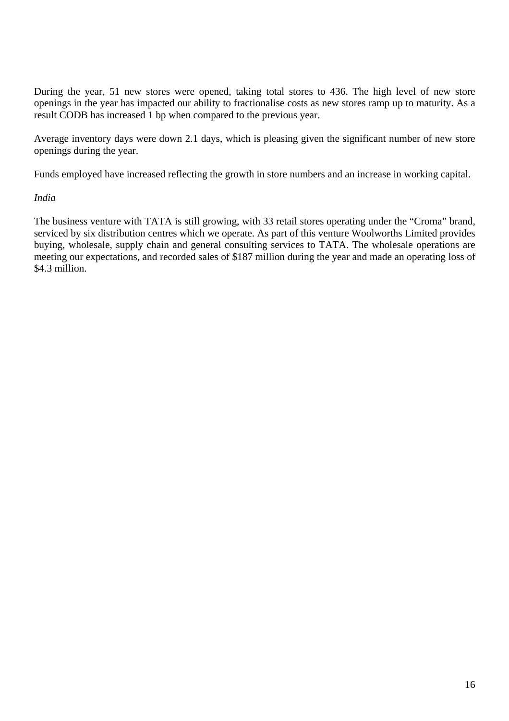During the year, 51 new stores were opened, taking total stores to 436. The high level of new store openings in the year has impacted our ability to fractionalise costs as new stores ramp up to maturity. As a result CODB has increased 1 bp when compared to the previous year.

Average inventory days were down 2.1 days, which is pleasing given the significant number of new store openings during the year.

Funds employed have increased reflecting the growth in store numbers and an increase in working capital.

#### *India*

The business venture with TATA is still growing, with 33 retail stores operating under the "Croma" brand, serviced by six distribution centres which we operate. As part of this venture Woolworths Limited provides buying, wholesale, supply chain and general consulting services to TATA. The wholesale operations are meeting our expectations, and recorded sales of \$187 million during the year and made an operating loss of \$4.3 million.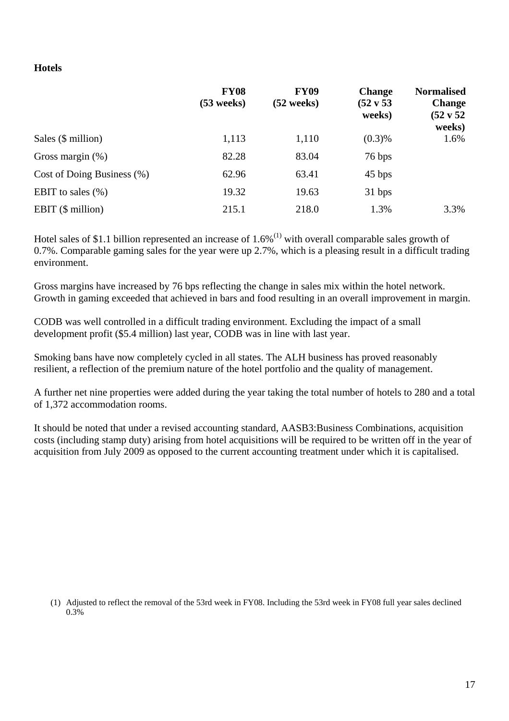#### **Hotels**

|                               | <b>FY08</b><br>$(53$ weeks) | <b>FY09</b><br>$(52 \text{ weeks})$ | <b>Change</b><br>$(52 \text{ v } 53)$<br>weeks) | <b>Normalised</b><br><b>Change</b><br>(52 v 52<br>weeks) |
|-------------------------------|-----------------------------|-------------------------------------|-------------------------------------------------|----------------------------------------------------------|
| Sales $(\$$ million)          | 1,113                       | 1,110                               | (0.3)%                                          | 1.6%                                                     |
| Gross margin $(\%)$           | 82.28                       | 83.04                               | 76 bps                                          |                                                          |
| Cost of Doing Business $(\%)$ | 62.96                       | 63.41                               | 45 bps                                          |                                                          |
| EBIT to sales $(\% )$         | 19.32                       | 19.63                               | 31 bps                                          |                                                          |
| EBIT $(\$$ million)           | 215.1                       | 218.0                               | 1.3%                                            | 3.3%                                                     |

Hotel sales of \$1.1 billion represented an increase of  $1.6\%$ <sup>(1)</sup> with overall comparable sales growth of 0.7%. Comparable gaming sales for the year were up 2.7%, which is a pleasing result in a difficult trading environment.

Gross margins have increased by 76 bps reflecting the change in sales mix within the hotel network. Growth in gaming exceeded that achieved in bars and food resulting in an overall improvement in margin.

CODB was well controlled in a difficult trading environment. Excluding the impact of a small development profit (\$5.4 million) last year, CODB was in line with last year.

Smoking bans have now completely cycled in all states. The ALH business has proved reasonably resilient, a reflection of the premium nature of the hotel portfolio and the quality of management.

A further net nine properties were added during the year taking the total number of hotels to 280 and a total of 1,372 accommodation rooms.

It should be noted that under a revised accounting standard, AASB3:Business Combinations, acquisition costs (including stamp duty) arising from hotel acquisitions will be required to be written off in the year of acquisition from July 2009 as opposed to the current accounting treatment under which it is capitalised.

(1) Adjusted to reflect the removal of the 53rd week in FY08. Including the 53rd week in FY08 full year sales declined 0.3%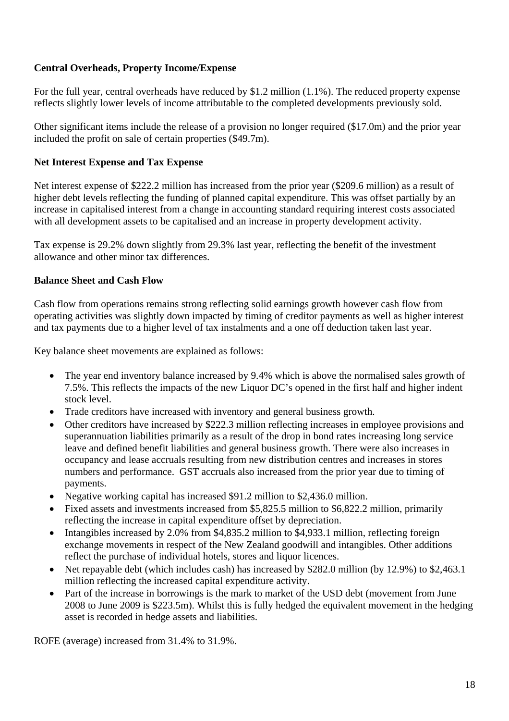#### **Central Overheads, Property Income/Expense**

For the full year, central overheads have reduced by \$1.2 million (1.1%). The reduced property expense reflects slightly lower levels of income attributable to the completed developments previously sold.

Other significant items include the release of a provision no longer required (\$17.0m) and the prior year included the profit on sale of certain properties (\$49.7m).

#### **Net Interest Expense and Tax Expense**

Net interest expense of \$222.2 million has increased from the prior year (\$209.6 million) as a result of higher debt levels reflecting the funding of planned capital expenditure. This was offset partially by an increase in capitalised interest from a change in accounting standard requiring interest costs associated with all development assets to be capitalised and an increase in property development activity.

Tax expense is 29.2% down slightly from 29.3% last year, reflecting the benefit of the investment allowance and other minor tax differences.

#### **Balance Sheet and Cash Flow**

Cash flow from operations remains strong reflecting solid earnings growth however cash flow from operating activities was slightly down impacted by timing of creditor payments as well as higher interest and tax payments due to a higher level of tax instalments and a one off deduction taken last year.

Key balance sheet movements are explained as follows:

- The year end inventory balance increased by 9.4% which is above the normalised sales growth of 7.5%. This reflects the impacts of the new Liquor DC's opened in the first half and higher indent stock level.
- Trade creditors have increased with inventory and general business growth.
- Other creditors have increased by \$222.3 million reflecting increases in employee provisions and superannuation liabilities primarily as a result of the drop in bond rates increasing long service leave and defined benefit liabilities and general business growth. There were also increases in occupancy and lease accruals resulting from new distribution centres and increases in stores numbers and performance. GST accruals also increased from the prior year due to timing of payments.
- Negative working capital has increased \$91.2 million to \$2,436.0 million.
- Fixed assets and investments increased from \$5,825.5 million to \$6,822.2 million, primarily reflecting the increase in capital expenditure offset by depreciation.
- Intangibles increased by 2.0% from \$4,835.2 million to \$4,933.1 million, reflecting foreign exchange movements in respect of the New Zealand goodwill and intangibles. Other additions reflect the purchase of individual hotels, stores and liquor licences.
- Net repayable debt (which includes cash) has increased by \$282.0 million (by 12.9%) to \$2,463.1 million reflecting the increased capital expenditure activity.
- Part of the increase in borrowings is the mark to market of the USD debt (movement from June 2008 to June 2009 is \$223.5m). Whilst this is fully hedged the equivalent movement in the hedging asset is recorded in hedge assets and liabilities.

ROFE (average) increased from 31.4% to 31.9%.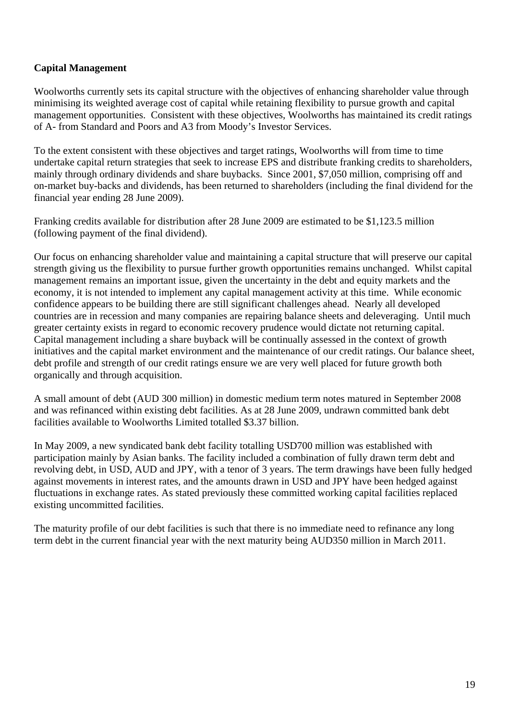### **Capital Management**

Woolworths currently sets its capital structure with the objectives of enhancing shareholder value through minimising its weighted average cost of capital while retaining flexibility to pursue growth and capital management opportunities. Consistent with these objectives, Woolworths has maintained its credit ratings of A- from Standard and Poors and A3 from Moody's Investor Services.

To the extent consistent with these objectives and target ratings, Woolworths will from time to time undertake capital return strategies that seek to increase EPS and distribute franking credits to shareholders, mainly through ordinary dividends and share buybacks. Since 2001, \$7,050 million, comprising off and on-market buy-backs and dividends, has been returned to shareholders (including the final dividend for the financial year ending 28 June 2009).

Franking credits available for distribution after 28 June 2009 are estimated to be \$1,123.5 million (following payment of the final dividend).

Our focus on enhancing shareholder value and maintaining a capital structure that will preserve our capital strength giving us the flexibility to pursue further growth opportunities remains unchanged. Whilst capital management remains an important issue, given the uncertainty in the debt and equity markets and the economy, it is not intended to implement any capital management activity at this time. While economic confidence appears to be building there are still significant challenges ahead. Nearly all developed countries are in recession and many companies are repairing balance sheets and deleveraging. Until much greater certainty exists in regard to economic recovery prudence would dictate not returning capital. Capital management including a share buyback will be continually assessed in the context of growth initiatives and the capital market environment and the maintenance of our credit ratings. Our balance sheet, debt profile and strength of our credit ratings ensure we are very well placed for future growth both organically and through acquisition.

A small amount of debt (AUD 300 million) in domestic medium term notes matured in September 2008 and was refinanced within existing debt facilities. As at 28 June 2009, undrawn committed bank debt facilities available to Woolworths Limited totalled \$3.37 billion.

In May 2009, a new syndicated bank debt facility totalling USD700 million was established with participation mainly by Asian banks. The facility included a combination of fully drawn term debt and revolving debt, in USD, AUD and JPY, with a tenor of 3 years. The term drawings have been fully hedged against movements in interest rates, and the amounts drawn in USD and JPY have been hedged against fluctuations in exchange rates. As stated previously these committed working capital facilities replaced existing uncommitted facilities.

The maturity profile of our debt facilities is such that there is no immediate need to refinance any long term debt in the current financial year with the next maturity being AUD350 million in March 2011.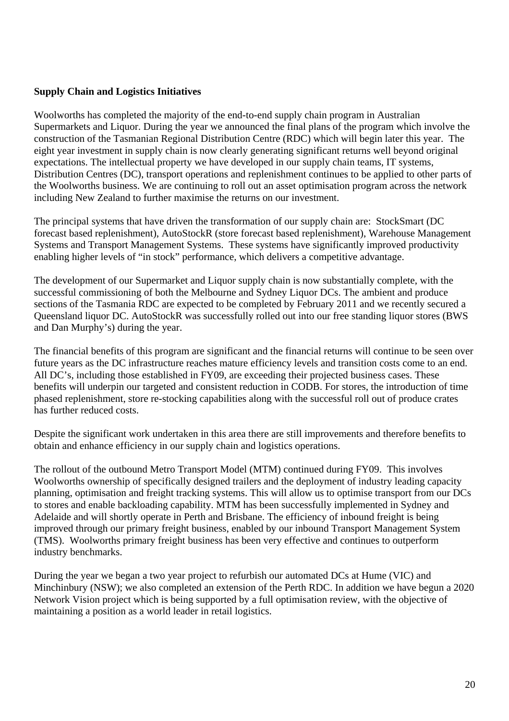#### **Supply Chain and Logistics Initiatives**

Woolworths has completed the majority of the end-to-end supply chain program in Australian Supermarkets and Liquor. During the year we announced the final plans of the program which involve the construction of the Tasmanian Regional Distribution Centre (RDC) which will begin later this year. The eight year investment in supply chain is now clearly generating significant returns well beyond original expectations. The intellectual property we have developed in our supply chain teams, IT systems, Distribution Centres (DC), transport operations and replenishment continues to be applied to other parts of the Woolworths business. We are continuing to roll out an asset optimisation program across the network including New Zealand to further maximise the returns on our investment.

The principal systems that have driven the transformation of our supply chain are: StockSmart (DC forecast based replenishment), AutoStockR (store forecast based replenishment), Warehouse Management Systems and Transport Management Systems. These systems have significantly improved productivity enabling higher levels of "in stock" performance, which delivers a competitive advantage.

The development of our Supermarket and Liquor supply chain is now substantially complete, with the successful commissioning of both the Melbourne and Sydney Liquor DCs. The ambient and produce sections of the Tasmania RDC are expected to be completed by February 2011 and we recently secured a Queensland liquor DC. AutoStockR was successfully rolled out into our free standing liquor stores (BWS and Dan Murphy's) during the year.

The financial benefits of this program are significant and the financial returns will continue to be seen over future years as the DC infrastructure reaches mature efficiency levels and transition costs come to an end. All DC's, including those established in FY09, are exceeding their projected business cases. These benefits will underpin our targeted and consistent reduction in CODB. For stores, the introduction of time phased replenishment, store re-stocking capabilities along with the successful roll out of produce crates has further reduced costs.

Despite the significant work undertaken in this area there are still improvements and therefore benefits to obtain and enhance efficiency in our supply chain and logistics operations.

The rollout of the outbound Metro Transport Model (MTM) continued during FY09. This involves Woolworths ownership of specifically designed trailers and the deployment of industry leading capacity planning, optimisation and freight tracking systems. This will allow us to optimise transport from our DCs to stores and enable backloading capability. MTM has been successfully implemented in Sydney and Adelaide and will shortly operate in Perth and Brisbane. The efficiency of inbound freight is being improved through our primary freight business, enabled by our inbound Transport Management System (TMS). Woolworths primary freight business has been very effective and continues to outperform industry benchmarks.

During the year we began a two year project to refurbish our automated DCs at Hume (VIC) and Minchinbury (NSW); we also completed an extension of the Perth RDC. In addition we have begun a 2020 Network Vision project which is being supported by a full optimisation review, with the objective of maintaining a position as a world leader in retail logistics.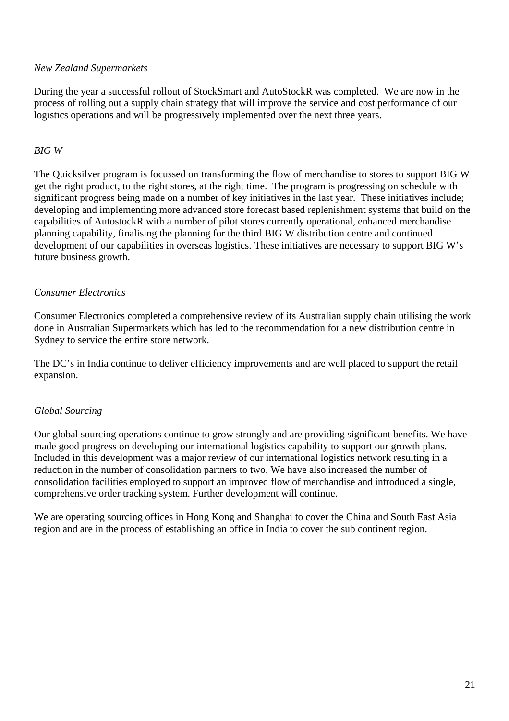#### *New Zealand Supermarkets*

During the year a successful rollout of StockSmart and AutoStockR was completed. We are now in the process of rolling out a supply chain strategy that will improve the service and cost performance of our logistics operations and will be progressively implemented over the next three years.

#### *BIG W*

The Quicksilver program is focussed on transforming the flow of merchandise to stores to support BIG W get the right product, to the right stores, at the right time. The program is progressing on schedule with significant progress being made on a number of key initiatives in the last year. These initiatives include; developing and implementing more advanced store forecast based replenishment systems that build on the capabilities of AutostockR with a number of pilot stores currently operational, enhanced merchandise planning capability, finalising the planning for the third BIG W distribution centre and continued development of our capabilities in overseas logistics. These initiatives are necessary to support BIG W's future business growth.

#### *Consumer Electronics*

Consumer Electronics completed a comprehensive review of its Australian supply chain utilising the work done in Australian Supermarkets which has led to the recommendation for a new distribution centre in Sydney to service the entire store network.

The DC's in India continue to deliver efficiency improvements and are well placed to support the retail expansion.

#### *Global Sourcing*

Our global sourcing operations continue to grow strongly and are providing significant benefits. We have made good progress on developing our international logistics capability to support our growth plans. Included in this development was a major review of our international logistics network resulting in a reduction in the number of consolidation partners to two. We have also increased the number of consolidation facilities employed to support an improved flow of merchandise and introduced a single, comprehensive order tracking system. Further development will continue.

We are operating sourcing offices in Hong Kong and Shanghai to cover the China and South East Asia region and are in the process of establishing an office in India to cover the sub continent region.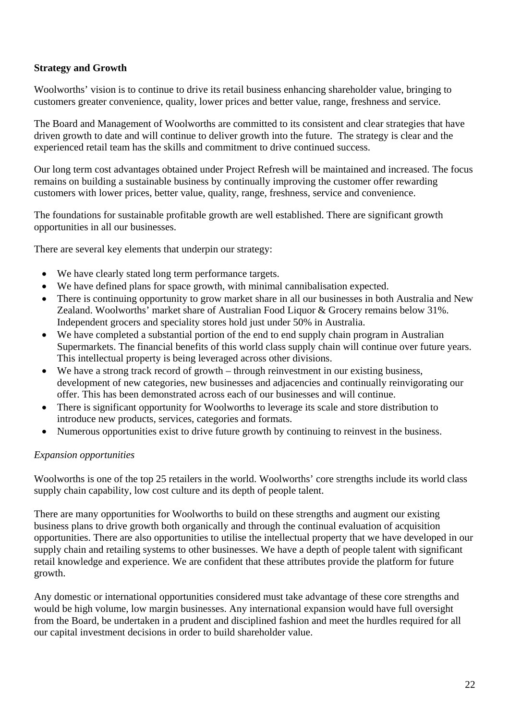#### **Strategy and Growth**

Woolworths' vision is to continue to drive its retail business enhancing shareholder value, bringing to customers greater convenience, quality, lower prices and better value, range, freshness and service.

The Board and Management of Woolworths are committed to its consistent and clear strategies that have driven growth to date and will continue to deliver growth into the future. The strategy is clear and the experienced retail team has the skills and commitment to drive continued success.

Our long term cost advantages obtained under Project Refresh will be maintained and increased. The focus remains on building a sustainable business by continually improving the customer offer rewarding customers with lower prices, better value, quality, range, freshness, service and convenience.

The foundations for sustainable profitable growth are well established. There are significant growth opportunities in all our businesses.

There are several key elements that underpin our strategy:

- We have clearly stated long term performance targets.
- We have defined plans for space growth, with minimal cannibalisation expected.
- There is continuing opportunity to grow market share in all our businesses in both Australia and New Zealand. Woolworths' market share of Australian Food Liquor & Grocery remains below 31%. Independent grocers and speciality stores hold just under 50% in Australia.
- We have completed a substantial portion of the end to end supply chain program in Australian Supermarkets. The financial benefits of this world class supply chain will continue over future years. This intellectual property is being leveraged across other divisions.
- We have a strong track record of growth through reinvestment in our existing business, development of new categories, new businesses and adjacencies and continually reinvigorating our offer. This has been demonstrated across each of our businesses and will continue.
- There is significant opportunity for Woolworths to leverage its scale and store distribution to introduce new products, services, categories and formats.
- Numerous opportunities exist to drive future growth by continuing to reinvest in the business.

#### *Expansion opportunities*

Woolworths is one of the top 25 retailers in the world. Woolworths' core strengths include its world class supply chain capability, low cost culture and its depth of people talent.

There are many opportunities for Woolworths to build on these strengths and augment our existing business plans to drive growth both organically and through the continual evaluation of acquisition opportunities. There are also opportunities to utilise the intellectual property that we have developed in our supply chain and retailing systems to other businesses. We have a depth of people talent with significant retail knowledge and experience. We are confident that these attributes provide the platform for future growth.

Any domestic or international opportunities considered must take advantage of these core strengths and would be high volume, low margin businesses. Any international expansion would have full oversight from the Board, be undertaken in a prudent and disciplined fashion and meet the hurdles required for all our capital investment decisions in order to build shareholder value.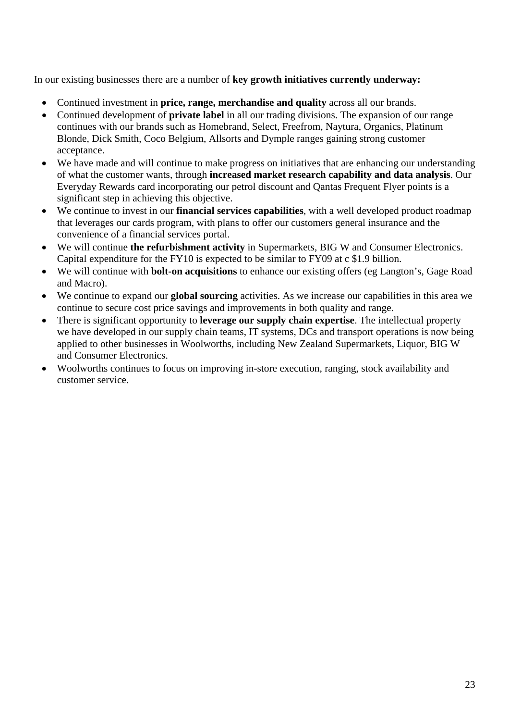In our existing businesses there are a number of **key growth initiatives currently underway:**

- Continued investment in **price, range, merchandise and quality** across all our brands.
- Continued development of **private label** in all our trading divisions. The expansion of our range continues with our brands such as Homebrand, Select, Freefrom, Naytura, Organics, Platinum Blonde, Dick Smith, Coco Belgium, Allsorts and Dymple ranges gaining strong customer acceptance.
- We have made and will continue to make progress on initiatives that are enhancing our understanding of what the customer wants, through **increased market research capability and data analysis**. Our Everyday Rewards card incorporating our petrol discount and Qantas Frequent Flyer points is a significant step in achieving this objective.
- We continue to invest in our **financial services capabilities**, with a well developed product roadmap that leverages our cards program, with plans to offer our customers general insurance and the convenience of a financial services portal.
- We will continue **the refurbishment activity** in Supermarkets, BIG W and Consumer Electronics. Capital expenditure for the FY10 is expected to be similar to FY09 at c \$1.9 billion.
- We will continue with **bolt-on acquisitions** to enhance our existing offers (eg Langton's, Gage Road and Macro).
- We continue to expand our **global sourcing** activities. As we increase our capabilities in this area we continue to secure cost price savings and improvements in both quality and range.
- There is significant opportunity to **leverage our supply chain expertise**. The intellectual property we have developed in our supply chain teams, IT systems, DCs and transport operations is now being applied to other businesses in Woolworths, including New Zealand Supermarkets, Liquor, BIG W and Consumer Electronics.
- Woolworths continues to focus on improving in-store execution, ranging, stock availability and customer service.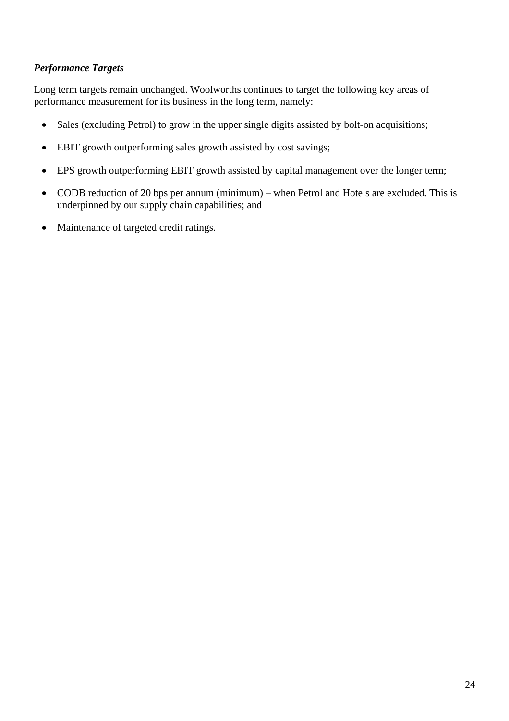#### *Performance Targets*

Long term targets remain unchanged. Woolworths continues to target the following key areas of performance measurement for its business in the long term, namely:

- Sales (excluding Petrol) to grow in the upper single digits assisted by bolt-on acquisitions;
- EBIT growth outperforming sales growth assisted by cost savings;
- EPS growth outperforming EBIT growth assisted by capital management over the longer term;
- CODB reduction of 20 bps per annum (minimum) when Petrol and Hotels are excluded. This is underpinned by our supply chain capabilities; and
- Maintenance of targeted credit ratings.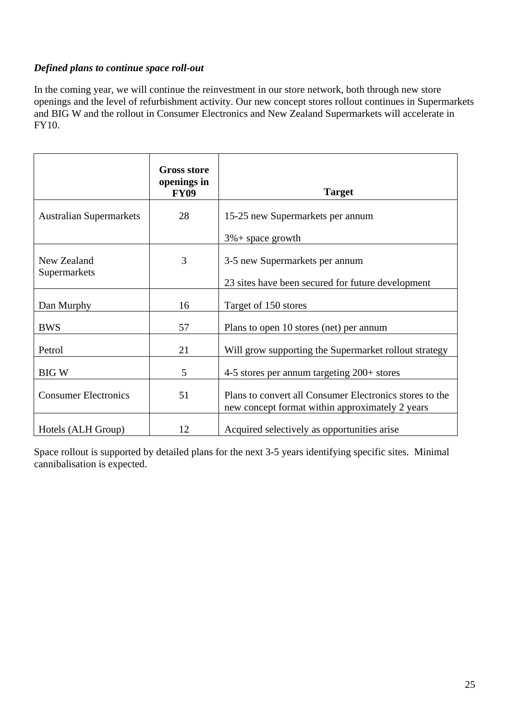# *Defined plans to continue space roll-out*

In the coming year, we will continue the reinvestment in our store network, both through new store openings and the level of refurbishment activity. Our new concept stores rollout continues in Supermarkets and BIG W and the rollout in Consumer Electronics and New Zealand Supermarkets will accelerate in FY10.

|                                | <b>Gross store</b><br>openings in<br><b>FY09</b> | <b>Target</b>                                                                                              |
|--------------------------------|--------------------------------------------------|------------------------------------------------------------------------------------------------------------|
| <b>Australian Supermarkets</b> | 28                                               | 15-25 new Supermarkets per annum<br>$3\%$ + space growth                                                   |
| New Zealand<br>Supermarkets    | 3                                                | 3-5 new Supermarkets per annum<br>23 sites have been secured for future development                        |
| Dan Murphy                     | 16                                               | Target of 150 stores                                                                                       |
| <b>BWS</b>                     | 57                                               | Plans to open 10 stores (net) per annum                                                                    |
| Petrol                         | 21                                               | Will grow supporting the Supermarket rollout strategy                                                      |
| <b>BIG W</b>                   | 5                                                | 4-5 stores per annum targeting $200+$ stores                                                               |
| <b>Consumer Electronics</b>    | 51                                               | Plans to convert all Consumer Electronics stores to the<br>new concept format within approximately 2 years |
| Hotels (ALH Group)             | 12                                               | Acquired selectively as opportunities arise                                                                |

Space rollout is supported by detailed plans for the next 3-5 years identifying specific sites. Minimal cannibalisation is expected.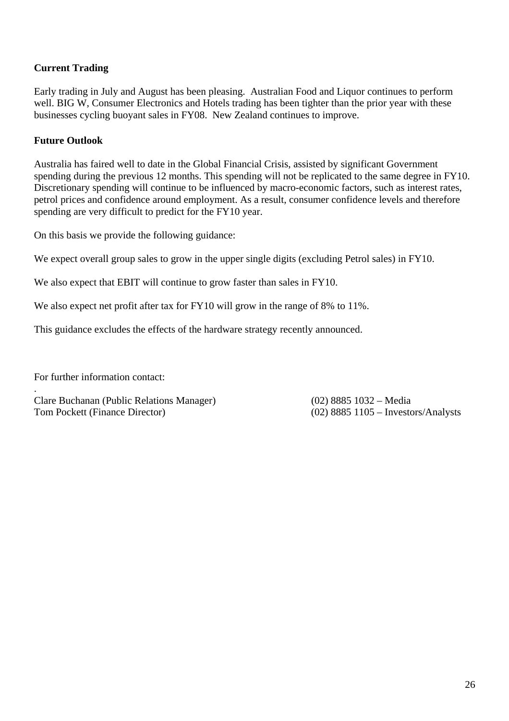# **Current Trading**

Early trading in July and August has been pleasing. Australian Food and Liquor continues to perform well. BIG W, Consumer Electronics and Hotels trading has been tighter than the prior year with these businesses cycling buoyant sales in FY08. New Zealand continues to improve.

#### **Future Outlook**

Australia has faired well to date in the Global Financial Crisis, assisted by significant Government spending during the previous 12 months. This spending will not be replicated to the same degree in FY10. Discretionary spending will continue to be influenced by macro-economic factors, such as interest rates, petrol prices and confidence around employment. As a result, consumer confidence levels and therefore spending are very difficult to predict for the FY10 year.

On this basis we provide the following guidance:

We expect overall group sales to grow in the upper single digits (excluding Petrol sales) in FY10.

We also expect that EBIT will continue to grow faster than sales in FY10.

We also expect net profit after tax for FY10 will grow in the range of 8% to 11%.

This guidance excludes the effects of the hardware strategy recently announced.

For further information contact:

.

Clare Buchanan (Public Relations Manager) (02) 8885 1032 – Media Tom Pockett (Finance Director) (02) 8885 1105 – Investors/Analysts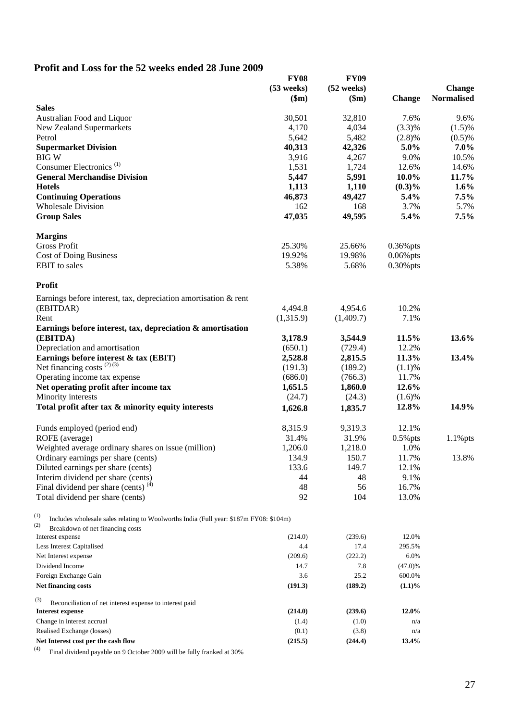# **Profit and Loss for the 52 weeks ended 28 June 2009**

|                                                                                                    | <b>FY08</b><br>$(53$ weeks) | <b>FY09</b><br>$(52$ weeks) |               | <b>Change</b>     |
|----------------------------------------------------------------------------------------------------|-----------------------------|-----------------------------|---------------|-------------------|
|                                                                                                    | \$m\$                       | \$m\$                       | <b>Change</b> | <b>Normalised</b> |
| <b>Sales</b>                                                                                       |                             |                             |               |                   |
| Australian Food and Liquor                                                                         | 30,501                      | 32,810                      | 7.6%          | 9.6%              |
| New Zealand Supermarkets                                                                           | 4,170                       | 4,034                       | $(3.3)\%$     | $(1.5)\%$         |
| Petrol                                                                                             | 5,642                       | 5,482                       | $(2.8)\%$     | $(0.5)\%$         |
| <b>Supermarket Division</b>                                                                        | 40,313                      | 42,326                      | 5.0%          | 7.0%              |
| <b>BIGW</b>                                                                                        | 3,916                       | 4,267                       | 9.0%          | 10.5%             |
| Consumer Electronics <sup>(1)</sup>                                                                | 1,531                       | 1,724                       | 12.6%         | 14.6%             |
| <b>General Merchandise Division</b>                                                                | 5,447                       | 5,991                       | $10.0\%$      | 11.7%             |
| <b>Hotels</b>                                                                                      | 1,113                       | 1,110                       | $(0.3)\%$     | 1.6%              |
| <b>Continuing Operations</b>                                                                       | 46,873                      | 49,427                      | 5.4%          | 7.5%              |
| <b>Wholesale Division</b>                                                                          | 162                         | 168                         | 3.7%          | 5.7%              |
| <b>Group Sales</b>                                                                                 | 47,035                      | 49,595                      | 5.4%          | 7.5%              |
| <b>Margins</b>                                                                                     |                             |                             |               |                   |
| <b>Gross Profit</b>                                                                                | 25.30%                      | 25.66%                      | $0.36\%$ pts  |                   |
| <b>Cost of Doing Business</b>                                                                      | 19.92%                      | 19.98%                      | $0.06\%$ pts  |                   |
| <b>EBIT</b> to sales                                                                               | 5.38%                       | 5.68%                       | $0.30\%$ pts  |                   |
| Profit                                                                                             |                             |                             |               |                   |
| Earnings before interest, tax, depreciation amortisation $\&$ rent                                 |                             |                             |               |                   |
| (EBITDAR)                                                                                          | 4,494.8                     | 4,954.6                     | 10.2%         |                   |
| Rent                                                                                               | (1,315.9)                   | (1,409.7)                   | 7.1%          |                   |
| Earnings before interest, tax, depreciation & amortisation                                         |                             |                             |               |                   |
| (EBITDA)                                                                                           | 3,178.9                     | 3,544.9                     | 11.5%         | 13.6%             |
| Depreciation and amortisation                                                                      | (650.1)                     | (729.4)                     | 12.2%         |                   |
| Earnings before interest & tax (EBIT)                                                              | 2,528.8                     | 2,815.5                     | 11.3%         | 13.4%             |
| Net financing costs $(2)(3)$                                                                       | (191.3)                     | (189.2)                     | (1.1)%        |                   |
| Operating income tax expense                                                                       | (686.0)                     | (766.3)                     | 11.7%         |                   |
| Net operating profit after income tax                                                              | 1,651.5                     | 1,860.0                     | 12.6%         |                   |
| Minority interests                                                                                 | (24.7)                      | (24.3)                      | $(1.6)\%$     |                   |
| Total profit after tax & minority equity interests                                                 | 1,626.8                     | 1,835.7                     | 12.8%         | 14.9%             |
| Funds employed (period end)                                                                        | 8,315.9                     | 9,319.3                     | 12.1%         |                   |
| ROFE (average)                                                                                     | 31.4%                       | 31.9%                       | $0.5\%$ pts   | $1.1\%$ pts       |
| Weighted average ordinary shares on issue (million)                                                | 1,206.0                     | 1,218.0                     | 1.0%          |                   |
| Ordinary earnings per share (cents)                                                                | 134.9                       | 150.7                       | 11.7%         | 13.8%             |
| Diluted earnings per share (cents)                                                                 | 133.6                       | 149.7                       | 12.1%         |                   |
| Interim dividend per share (cents)                                                                 | 44                          | 48                          | 9.1%          |                   |
| Final dividend per share (cents) <sup>(4)</sup>                                                    | 48                          | 56                          | 16.7%         |                   |
| Total dividend per share (cents)                                                                   | 92                          | 104                         | 13.0%         |                   |
| $^{(1)}$<br>Includes wholesale sales relating to Woolworths India (Full year: \$187m FY08: \$104m) |                             |                             |               |                   |
| (2)<br>Breakdown of net financing costs                                                            |                             |                             |               |                   |
| Interest expense                                                                                   | (214.0)                     | (239.6)                     | 12.0%         |                   |
| Less Interest Capitalised                                                                          | 4.4                         | 17.4                        | 295.5%        |                   |
| Net Interest expense                                                                               | (209.6)                     | (222.2)                     | 6.0%          |                   |
| Dividend Income                                                                                    | 14.7                        | 7.8                         | $(47.0)\%$    |                   |
| Foreign Exchange Gain                                                                              | 3.6                         | 25.2                        | 600.0%        |                   |
| Net financing costs                                                                                | (191.3)                     | (189.2)                     | $(1.1)\%$     |                   |
| (3)<br>Reconciliation of net interest expense to interest paid                                     |                             |                             |               |                   |
| <b>Interest expense</b>                                                                            | (214.0)                     | (239.6)                     | 12.0%         |                   |
| Change in interest accrual                                                                         | (1.4)                       | (1.0)                       | n/a           |                   |
| Realised Exchange (losses)                                                                         | (0.1)                       | (3.8)                       | n/a           |                   |
| Net Interest cost per the cash flow                                                                | (215.5)                     | (244.4)                     | 13.4%         |                   |

(4) Final dividend payable on 9 October 2009 will be fully franked at 30%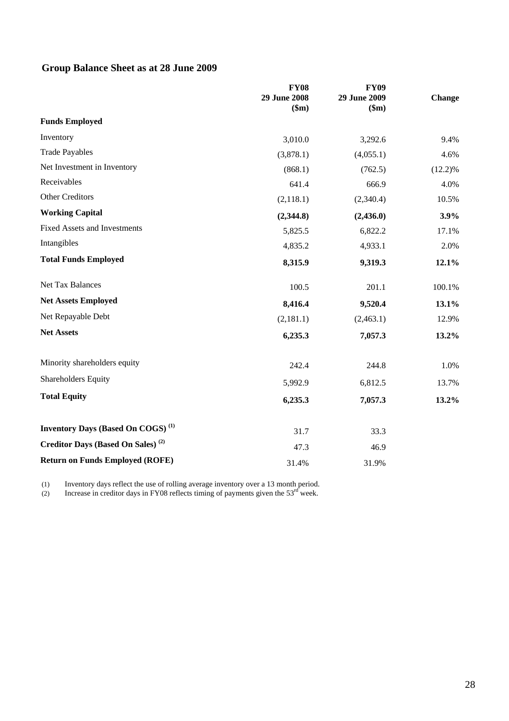# **Group Balance Sheet as at 28 June 2009**

|                                               | <b>FY08</b><br><b>29 June 2008</b><br>\$m\$ | <b>FY09</b><br>29 June 2009<br>\$m\$ | <b>Change</b> |
|-----------------------------------------------|---------------------------------------------|--------------------------------------|---------------|
| <b>Funds Employed</b>                         |                                             |                                      |               |
| Inventory                                     | 3,010.0                                     | 3,292.6                              | 9.4%          |
| <b>Trade Payables</b>                         | (3,878.1)                                   | (4,055.1)                            | 4.6%          |
| Net Investment in Inventory                   | (868.1)                                     | (762.5)                              | (12.2)%       |
| Receivables                                   | 641.4                                       | 666.9                                | 4.0%          |
| Other Creditors                               | (2,118.1)                                   | (2,340.4)                            | 10.5%         |
| <b>Working Capital</b>                        | (2,344.8)                                   | (2,436.0)                            | 3.9%          |
| <b>Fixed Assets and Investments</b>           | 5,825.5                                     | 6,822.2                              | 17.1%         |
| Intangibles                                   | 4,835.2                                     | 4,933.1                              | 2.0%          |
| <b>Total Funds Employed</b>                   | 8,315.9                                     | 9,319.3                              | 12.1%         |
| Net Tax Balances                              | 100.5                                       | 201.1                                | 100.1%        |
| <b>Net Assets Employed</b>                    | 8,416.4                                     | 9,520.4                              | 13.1%         |
| Net Repayable Debt                            | (2,181.1)                                   | (2,463.1)                            | 12.9%         |
| <b>Net Assets</b>                             | 6,235.3                                     | 7,057.3                              | 13.2%         |
| Minority shareholders equity                  | 242.4                                       | 244.8                                | 1.0%          |
| Shareholders Equity                           | 5,992.9                                     | 6,812.5                              | 13.7%         |
| <b>Total Equity</b>                           | 6,235.3                                     | 7,057.3                              | 13.2%         |
| Inventory Days (Based On COGS) <sup>(1)</sup> | 31.7                                        | 33.3                                 |               |
| Creditor Days (Based On Sales) <sup>(2)</sup> | 47.3                                        | 46.9                                 |               |
| <b>Return on Funds Employed (ROFE)</b>        | 31.4%                                       | 31.9%                                |               |

(1) Inventory days reflect the use of rolling average inventory over a 13 month period.

(2) Increase in creditor days in FY08 reflects timing of payments given the  $53<sup>rd</sup>$  week.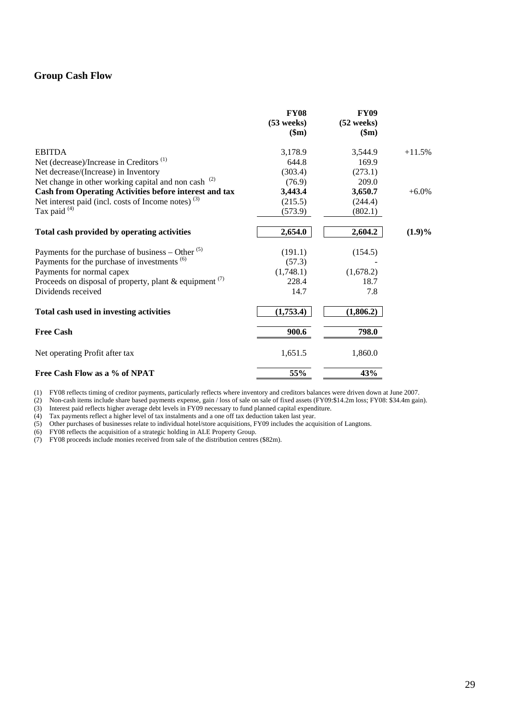#### **Group Cash Flow**

|                                                                 | <b>FY08</b><br>$(53$ weeks)<br>\$m\$ | <b>FY09</b><br>$(52 \text{ weeks})$<br>\$m\$ |           |
|-----------------------------------------------------------------|--------------------------------------|----------------------------------------------|-----------|
| <b>EBITDA</b>                                                   | 3,178.9                              | 3,544.9                                      | $+11.5%$  |
| Net (decrease)/Increase in Creditors <sup>(1)</sup>             | 644.8                                | 169.9                                        |           |
| Net decrease/(Increase) in Inventory                            | (303.4)                              | (273.1)                                      |           |
| Net change in other working capital and non cash <sup>(2)</sup> | (76.9)                               | 209.0                                        |           |
| Cash from Operating Activities before interest and tax          | 3,443.4                              | 3,650.7                                      | $+6.0\%$  |
| Net interest paid (incl. costs of Income notes) $(3)$           | (215.5)                              | (244.4)                                      |           |
| Tax paid <sup>(4)</sup>                                         | (573.9)                              | (802.1)                                      |           |
| Total cash provided by operating activities                     | 2,654.0                              | 2,604.2                                      | $(1.9)\%$ |
| Payments for the purchase of business – Other $(5)$             | (191.1)                              | (154.5)                                      |           |
| Payments for the purchase of investments <sup>(6)</sup>         | (57.3)                               |                                              |           |
| Payments for normal capex                                       | (1,748.1)                            | (1,678.2)                                    |           |
| Proceeds on disposal of property, plant & equipment $(7)$       | 228.4                                | 18.7                                         |           |
| Dividends received                                              | 14.7                                 | 7.8                                          |           |
| Total cash used in investing activities                         | (1,753.4)                            | (1,806.2)                                    |           |
| <b>Free Cash</b>                                                | 900.6                                | 798.0                                        |           |
| Net operating Profit after tax                                  | 1,651.5                              | 1,860.0                                      |           |
| Free Cash Flow as a % of NPAT                                   | 55%                                  | 43%                                          |           |

(1) FY08 reflects timing of creditor payments, particularly reflects where inventory and creditors balances were driven down at June 2007.

(2) Non-cash items include share based payments expense, gain / loss of sale on sale of fixed assets (FY09:\$14.2m loss; FY08: \$34.4m gain).

(3) Interest paid reflects higher average debt levels in FY09 necessary to fund planned capital expenditure.

(4) Tax payments reflect a higher level of tax instalments and a one off tax deduction taken last year.

(5) Other purchases of businesses relate to individual hotel/store acquisitions, FY09 includes the acquisition of Langtons.

(6) FY08 reflects the acquisition of a strategic holding in ALE Property Group.

(7) FY08 proceeds include monies received from sale of the distribution centres (\$82m).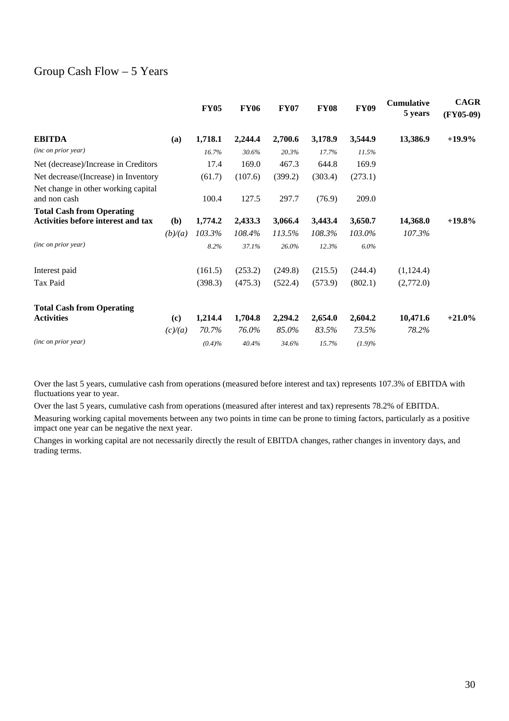# Group Cash Flow  $-5$  Years

|                                                                               |                             | <b>FY05</b> | <b>FY06</b> | <b>FY07</b> | <b>FY08</b> | <b>FY09</b> | <b>Cumulative</b><br>5 years | <b>CAGR</b><br>$(FY05-09)$ |
|-------------------------------------------------------------------------------|-----------------------------|-------------|-------------|-------------|-------------|-------------|------------------------------|----------------------------|
| <b>EBITDA</b>                                                                 | (a)                         | 1,718.1     | 2,244.4     | 2,700.6     | 3,178.9     | 3,544.9     | 13,386.9                     | $+19.9\%$                  |
| (inc on prior year)                                                           |                             | 16.7%       | 30.6%       | 20.3%       | 17.7%       | 11.5%       |                              |                            |
| Net (decrease)/Increase in Creditors                                          |                             | 17.4        | 169.0       | 467.3       | 644.8       | 169.9       |                              |                            |
| Net decrease/(Increase) in Inventory                                          |                             | (61.7)      | (107.6)     | (399.2)     | (303.4)     | (273.1)     |                              |                            |
| Net change in other working capital<br>and non cash                           |                             | 100.4       | 127.5       | 297.7       | (76.9)      | 209.0       |                              |                            |
| <b>Total Cash from Operating</b><br><b>Activities before interest and tax</b> | (b)                         | 1,774.2     | 2,433.3     | 3,066.4     | 3,443.4     | 3,650.7     | 14,368.0                     | $+19.8\%$                  |
|                                                                               | (b)/(a)                     | 103.3%      | 108.4%      | 113.5%      | 108.3%      | 103.0%      | 107.3%                       |                            |
| (inc on prior year)                                                           |                             | 8.2%        | 37.1%       | 26.0%       | 12.3%       | 6.0%        |                              |                            |
| Interest paid                                                                 |                             | (161.5)     | (253.2)     | (249.8)     | (215.5)     | (244.4)     | (1, 124.4)                   |                            |
| Tax Paid                                                                      |                             | (398.3)     | (475.3)     | (522.4)     | (573.9)     | (802.1)     | (2,772.0)                    |                            |
| <b>Total Cash from Operating</b>                                              |                             |             |             |             |             |             |                              |                            |
| <b>Activities</b>                                                             | $\left( \mathbf{c} \right)$ | 1,214.4     | 1,704.8     | 2,294.2     | 2,654.0     | 2,604.2     | 10,471.6                     | $+21.0\%$                  |
|                                                                               | (c)/(a)                     | 70.7%       | 76.0%       | 85.0%       | 83.5%       | 73.5%       | 78.2%                        |                            |
| (inc on prior year)                                                           |                             | $(0.4)\%$   | 40.4%       | 34.6%       | 15.7%       | $(1.9)\%$   |                              |                            |

Over the last 5 years, cumulative cash from operations (measured before interest and tax) represents 107.3% of EBITDA with fluctuations year to year.

Over the last 5 years, cumulative cash from operations (measured after interest and tax) represents 78.2% of EBITDA.

Measuring working capital movements between any two points in time can be prone to timing factors, particularly as a positive impact one year can be negative the next year.

Changes in working capital are not necessarily directly the result of EBITDA changes, rather changes in inventory days, and trading terms.